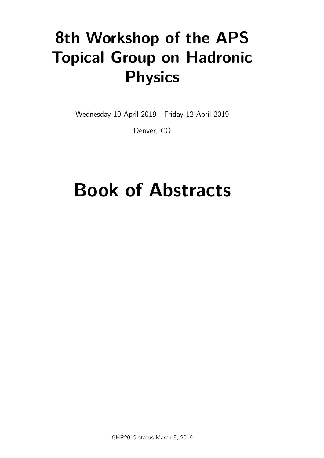# **8th Workshop of the APS Topical Group on Hadronic Physics**

Wednesday 10 April 2019 - Friday 12 April 2019

Denver, CO

# Book of Abstracts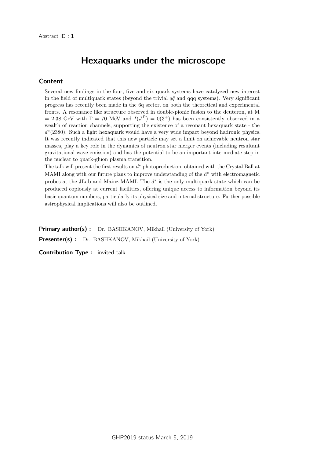# Hexaquarks under the microscope

#### Content

Several new findings in the four, five and six quark systems have catalyzed new interest in the field of multiquark states (beyond the trivial  $q\bar{q}$  and qqq systems). Very significant progress has recently been made in the 6q sector, on both the theoretical and experimental fronts. A resonance like structure observed in double-pionic fusion to the deuteron, at M = 2.38 GeV with  $\Gamma = 70$  MeV and  $I(J^P) = 0(3^+)$  has been consistently observed in a wealth of reaction channels, supporting the existence of a resonant hexaquark state - the *d*<sup>\*</sup>(2380). Such a light hexaquark would have a very wide impact beyond hadronic physics. It was recently indicated that this new particle may set a limit on achievable neutron star masses, play a key role in the dynamics of neutron star merger events (including resultant gravitational wave emission) and has the potential to be an important intermediate step in the nuclear to quark-gluon plasma transition.

The talk will present the first results on  $d^*$  photoproduction, obtained with the Crystal Ball at MAMI along with our future plans to improve understanding of the d\* with electromagnetic probes at the JLab and Mainz MAMI. The  $d^*$  is the only multiquark state which can be produced copiously at current facilities, offering unique access to information beyond its basic quantum numbers, particularly its physical size and internal structure. Further possible astrophysical implications will also be outlined.

Primary author(s) : Dr. BASHKANOV, Mikhail (University of York) **Presenter(s)** : Dr. BASHKANOV, Mikhail (University of York)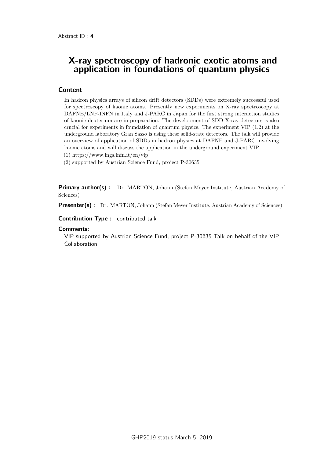### X-ray spectroscopy of hadronic exotic atoms and application in foundations of quantum physics

#### Content

In hadron physics arrays of silicon drift detectors (SDDs) were extremely successful used for spectroscopy of kaonic atoms. Presently new experiments on X-ray spectroscopy at DAFNE/LNF-INFN in Italy and J-PARC in Japan for the first strong interaction studies of kaonic deuterium are in preparation. The development of SDD X-ray detectors is also crucial for experiments in foundation of quantum physics. The experiment VIP (1,2) at the underground laboratory Gran Sasso is using these solid-state detectors. The talk will provide an overview of application of SDDs in hadron physics at DAFNE and J-PARC involving kaonic atoms and will discuss the application in the underground experiment VIP.

(1) https://www.lngs.infn.it/en/vip

(2) supported by Austrian Science Fund, project P-30635

**Primary author(s):** Dr. MARTON, Johann (Stefan Meyer Institute, Austrian Academy of Sciences)

Presenter(s) : Dr. MARTON, Johann (Stefan Meyer Institute, Austrian Academy of Sciences)

Contribution Type : contributed talk

#### **Comments:**

VIP supported by Austrian Science Fund, project P-30635 Talk on behalf of the VIP Collaboration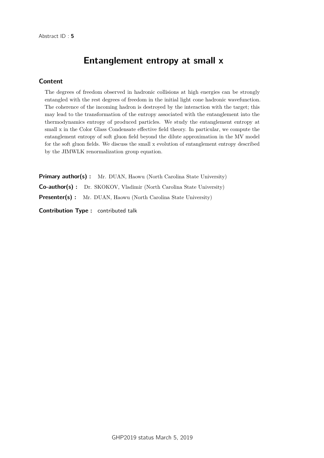# Entanglement entropy at small x

#### Content

The degrees of freedom observed in hadronic collisions at high energies can be strongly entangled with the rest degrees of freedom in the initial light cone hadronic wavefunction. The coherence of the incoming hadron is destroyed by the interaction with the target; this may lead to the transformation of the entropy associated with the entanglement into the thermodynamics entropy of produced particles. We study the entanglement entropy at small x in the Color Glass Condensate effective field theory. In particular, we compute the entanglement entropy of soft gluon field beyond the dilute approximation in the MV model for the soft gluon fields. We discuss the small x evolution of entanglement entropy described by the JIMWLK renormalization group equation.

Primary author(s) : Mr. DUAN, Haowu (North Carolina State University) Co-author(s) : Dr. SKOKOV, Vladimir (North Carolina State University) **Presenter(s)**: Mr. DUAN, Haowu (North Carolina State University)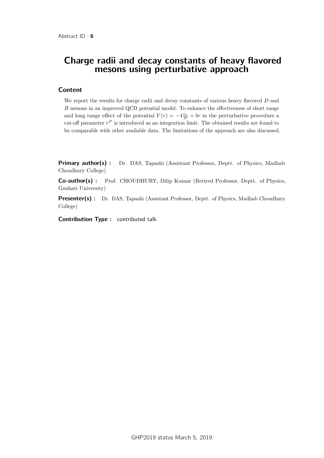### Charge radii and decay constants of heavy flavored mesons using perturbative approach

#### Content

We report the results for charge radii and decay constants of various heavy flavored *D* and *B* mesons in an improved QCD potential model. To enhance the effectiveness of short range and long range effect of the potential  $V(r) = -4\frac{\alpha_s}{3r} + br$  in the perturbative procedure a cut-off parameter  $r^P$  is introduced as an integration limit. The obtained results are found to be comparable with other available data. The limitations of the approach are also discussed.

**Primary author(s)**: Dr. DAS, Tapashi (Assistant Professor, Deptt. of Physics, Madhab Choudhury College)

Co-author(s) : Prof. CHOUDHURY, Dilip Kumar (Retired Professor, Deptt. of Physics, Gauhati University)

Presenter(s) : Dr. DAS, Tapashi (Assistant Professor, Deptt. of Physics, Madhab Choudhury College)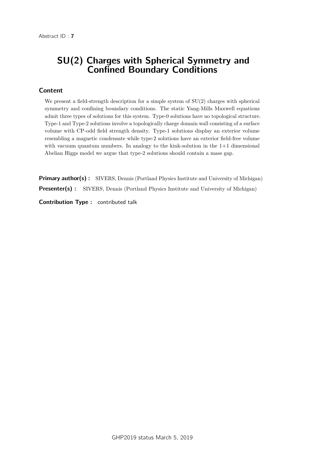# SU(2) Charges with Spherical Symmetry and Confined Boundary Conditions

#### Content

We present a field-strength description for a simple system of  $SU(2)$  charges with spherical symmetry and confining boundary conditions. The static Yang-Mills Maxwell equations admit three types of solutions for this system. Type-0 solutions have no topological structure. Type-1 and Type-2 solutions involve a topologically charge domain wall consisting of a surface volume with CP-odd field strength density. Type-1 solutions display an exterior volume resembling a magnetic condensate while type-2 solutions have an exterior field-free volume with vacuum quantum numbers. In analogy to the kink-solution in the  $1+1$  dimensional Abelian Higgs model we argue that type-2 solutions should contain a mass gap.

**Primary author(s) :** SIVERS, Dennis (Portland Physics Institute and University of Michigan) Presenter(s) : SIVERS, Dennis (Portland Physics Institute and University of Michigan)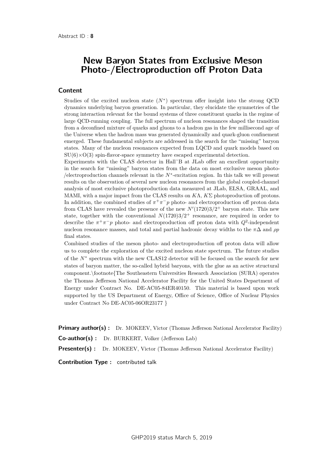# New Baryon States from Exclusive Meson Photo-/Electroproduction off Proton Data

#### Content

Studies of the excited nucleon state  $(N^*)$  spectrum offer insight into the strong QCD dynamics underlying baryon generation. In particular, they elucidate the symmetries of the strong interaction relevant for the bound systems of three constituent quarks in the regime of large QCD-running coupling. The full spectrum of nucleon resonances shaped the transition from a deconfined mixture of quarks and gluons to a hadron gas in the few millisecond age of the Universe when the hadron mass was generated dynamically and quark-gluon confinement emerged. These fundamental subjects are addressed in the search for the "missing" baryon states. Many of the nucleon resonances expected from LQCD and quark models based on  $SU(6)\times O(3)$  spin-flavor-space symmetry have escaped experimental detection.

Experiments with the CLAS detector in Hall˜B at JLab offer an excellent opportunity in the search for "missing" baryon states from the data on most exclusive meson photo- /electroproduction channels relevant in the *N*<sup>∗</sup> -excitation region. In this talk we will present results on the observation of several new nucleon resonances from the global coupled-channel analysis of most exclusive photoproduction data measured at JLab, ELSA, GRAAL, and MAMI, with a major impact from the CLAS results on *K*Λ, *K*Σ photoproduction off protons. In addition, the combined studies of  $\pi^+\pi^-p$  photo- and electroproduction off proton data from CLAS have revealed the presence of the new  $N'(1720)3/2^+$  baryon state. This new state, together with the conventional  $N(1720)3/2^+$  resonance, are required in order to describe the  $\pi^+\pi^-p$  photo- and electroproduction off proton data with  $Q^2$ -independent nucleon resonance masses, and total and partial hadronic decay widths to the  $\pi\Delta$  and  $\rho p$ final states.

Combined studies of the meson photo- and electroproduction off proton data will allow us to complete the exploration of the excited nucleon state spectrum. The future studies of the *N*<sup>∗</sup> spectrum with the new CLAS12 detector will be focused on the search for new states of baryon matter, the so-called hybrid baryons, with the glue as an active structural component.\footnote{The Southeastern Universities Research Association (SURA) operates the Thomas Jefferson National Accelerator Facility for the United States Department of Energy under Contract No. DE-AC05-84ER40150. This material is based upon work supported by the US Department of Energy, Office of Science, Office of Nuclear Physics under Contract No DE-AC05-06OR23177 }

**Primary author(s):** Dr. MOKEEV, Victor (Thomas Jefferson National Accelerator Facility)

Co-author(s) : Dr. BURKERT, Volker (Jefferson Lab)

Presenter(s) : Dr. MOKEEV, Victor (Thomas Jefferson National Accelerator Facility)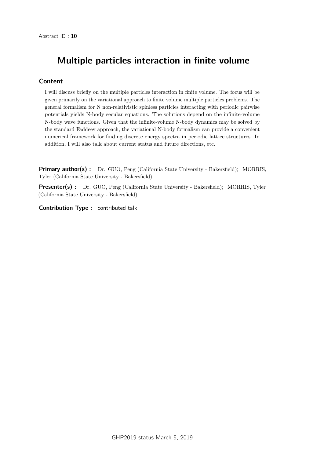# Multiple particles interaction in finite volume

#### Content

I will discuss briefly on the multiple particles interaction in finite volume. The focus will be given primarily on the variational approach to finite volume multiple particles problems. The general formalism for N non-relativistic spinless particles interacting with periodic pairwise potentials yields N-body secular equations. The solutions depend on the infinite-volume N-body wave functions. Given that the infinite-volume N-body dynamics may be solved by the standard Faddeev approach, the variational N-body formalism can provide a convenient numerical framework for finding discrete energy spectra in periodic lattice structures. In addition, I will also talk about current status and future directions, etc.

**Primary author(s) :** Dr. GUO, Peng (California State University - Bakersfield); MORRIS, Tyler (California State University - Bakersfield)

Presenter(s) : Dr. GUO, Peng (California State University - Bakersfield); MORRIS, Tyler (California State University - Bakersfield)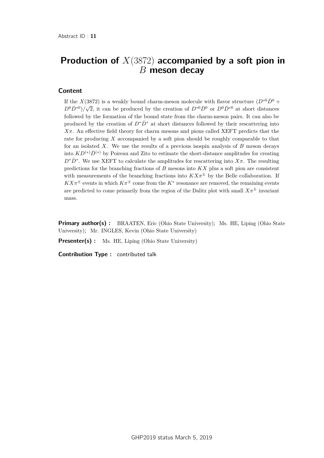# Production of *X*(3872) accompanied by a soft pion in *B* meson decay

#### Content

If the *X*(3872) is a weakly bound charm-meson molecule with flavor structure  $(D^{*0}\bar{D}^0 +$  $D^{0}D^{*0})/$  $\sqrt{2}$ , it can be produced by the creation of  $D^{*0}\bar{D}^0$  or  $D^0\bar{D}^{*0}$  at short distances followed by the formation of the bound state from the charm-meson pairs. It can also be produced by the creation of  $D^*\bar{D}^*$  at short distances followed by their rescattering into *Xπ*. An effective field theory for charm mesons and pions called XEFT predicts that the rate for producing *X* accompanied by a soft pion should be roughly comparable to that for an isolated *X*. We use the results of a previous isospin analysis of *B* meson decays into  $KD^{(*)}\bar{D}^{(*)}$  by Poireau and Zito to estimate the short-distance amplitudes for creating  $D^*\bar{D}^*$ . We use XEFT to calculate the amplitudes for rescattering into  $X\pi$ . The resulting predictions for the branching fractions of *B* mesons into *KX* plus a soft pion are consistent with measurements of the branching fractions into  $K X \pi^{\pm}$  by the Belle collaboration. If  $K X \pi^{\pm}$  events in which  $K \pi^{\pm}$  come from the  $K^*$  resonance are removed, the remaining events are predicted to come primarily from the region of the Dalitz plot with small  $X\pi^{\pm}$  invariant mass.

**Primary author(s):** BRAATEN, Eric (Ohio State University); Ms. HE, Liping (Ohio State University); Mr. INGLES, Kevin (Ohio State University)

**Presenter(s)** : Ms. HE, Liping (Ohio State University)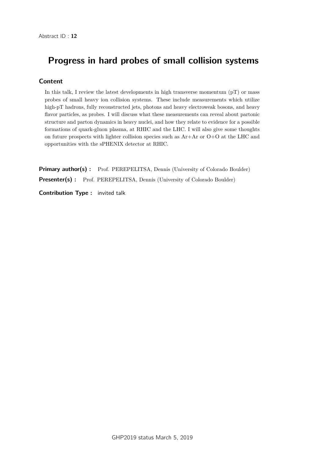# Progress in hard probes of small collision systems

#### Content

In this talk, I review the latest developments in high transverse momentum  $(pT)$  or mass probes of small heavy ion collision systems. These include measurements which utilize high-pT hadrons, fully reconstructed jets, photons and heavy electroweak bosons, and heavy flavor particles, as probes. I will discuss what these measurements can reveal about partonic structure and parton dynamics in heavy nuclei, and how they relate to evidence for a possible formations of quark-gluon plasma, at RHIC and the LHC. I will also give some thoughts on future prospects with lighter collision species such as Ar+Ar or O+O at the LHC and opportunities with the sPHENIX detector at RHIC.

Primary author(s): Prof. PEREPELITSA, Dennis (University of Colorado Boulder) Presenter(s) : Prof. PEREPELITSA, Dennis (University of Colorado Boulder)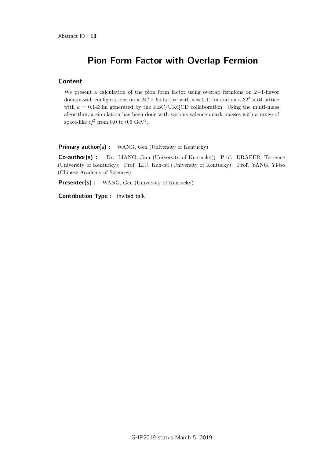# Pion Form Factor with Overlap Fermion

#### Content

We present a calculation of the pion form factor using overlap fermions on 2+1-flavor domain-wall configurations on a  $24^3 \times 64$  lattice with  $a = 0.11$  fm and on a  $32^3 \times 64$  lattice with  $a = 0.143$  fm generated by the RBC/UKQCD collaboration. Using the multi-mass algorithm, a simulation has been done with various valence quark masses with a range of space-like  $Q^2$  from 0.0 to 0.6 GeV<sup>2</sup>.

Primary author(s) : WANG, Gen (University of Kentucky)

Co-author(s) : Dr. LIANG, Jian (University of Kentucky); Prof. DRAPER, Terrence (University of Kentucky); Prof. LIU, Keh-fei (University of Kentucky); Prof. YANG, Yi-bo (Chinese Academy of Sciences)

Presenter(s) : WANG, Gen (University of Kentucky)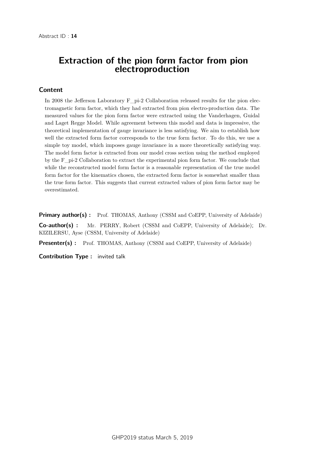### Extraction of the pion form factor from pion electroproduction

#### Content

In 2008 the Jefferson Laboratory F<sub>r</sub> pi-2 Collaboration released results for the pion electromagnetic form factor, which they had extracted from pion electro-production data. The measured values for the pion form factor were extracted using the Vanderhagen, Guidal and Laget Regge Model. While agreement between this model and data is impressive, the theoretical implementation of gauge invariance is less satisfying. We aim to establish how well the extracted form factor corresponds to the true form factor. To do this, we use a simple toy model, which imposes gauge invariance in a more theoretically satisfying way. The model form factor is extracted from our model cross section using the method employed by the F\_pi-2 Collaboration to extract the experimental pion form factor. We conclude that while the reconstructed model form factor is a reasonable representation of the true model form factor for the kinematics chosen, the extracted form factor is somewhat smaller than the true form factor. This suggests that current extracted values of pion form factor may be overestimated.

Primary author(s): Prof. THOMAS, Anthony (CSSM and CoEPP, University of Adelaide)

Co-author(s) : Mr. PERRY, Robert (CSSM and CoEPP, University of Adelaide); Dr. KIZILERSU, Ayse (CSSM, University of Adelaide)

Presenter(s) : Prof. THOMAS, Anthony (CSSM and CoEPP, University of Adelaide)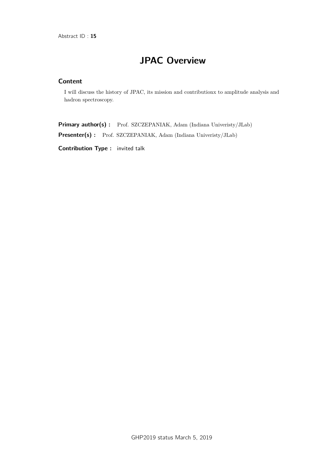# JPAC Overview

#### **Content**

I will discuss the history of JPAC, its mission and contributionx to amplitude analysis and hadron spectroscopy.

Primary author(s) : Prof. SZCZEPANIAK, Adam (Indiana Univeristy/JLab)

Presenter(s) : Prof. SZCZEPANIAK, Adam (Indiana Univeristy/JLab)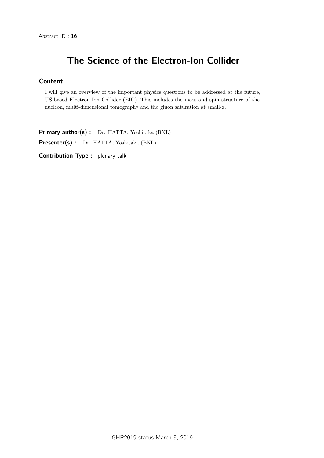# The Science of the Electron-Ion Collider

#### Content

I will give an overview of the important physics questions to be addressed at the future, US-based Electron-Ion Collider (EIC). This includes the mass and spin structure of the nucleon, multi-dimensional tomography and the gluon saturation at small-x.

Primary author(s) : Dr. HATTA, Yoshitaka (BNL)

Presenter(s) : Dr. HATTA, Yoshitaka (BNL)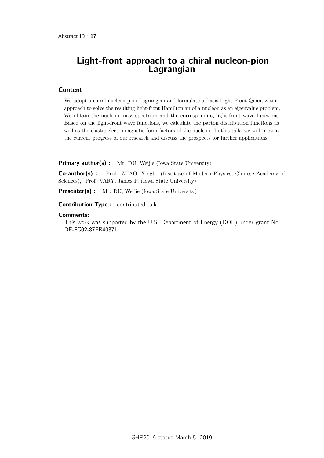# Light-front approach to a chiral nucleon-pion Lagrangian

#### **Content**

We adopt a chiral nucleon-pion Lagrangian and formulate a Basis Light-Front Quantization approach to solve the resulting light-front Hamiltonian of a nucleon as an eigenvalue problem. We obtain the nucleon mass spectrum and the corresponding light-front wave functions. Based on the light-front wave functions, we calculate the parton distribution functions as well as the elastic electromagnetic form factors of the nucleon. In this talk, we will present the current progress of our research and discuss the prospects for further applications.

**Primary author(s):** Mr. DU, Weijie (Iowa State University)

Co-author(s) : Prof. ZHAO, Xingbo (Institute of Modern Physics, Chinese Academy of Sciences); Prof. VARY, James P. (Iowa State University)

Presenter(s) : Mr. DU, Weijie (Iowa State University)

Contribution Type : contributed talk

#### **Comments:**

This work was supported by the U.S. Department of Energy (DOE) under grant No. DE-FG02-87ER40371.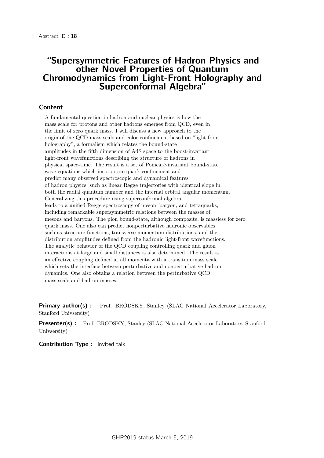### "Supersymmetric Features of Hadron Physics and other Novel Properties of Quantum Chromodynamics from Light-Front Holography and Superconformal Algebra"

#### Content

A fundamental question in hadron and nuclear physics is how the mass scale for protons and other hadrons emerges from QCD, even in the limit of zero quark mass. I will discuss a new approach to the origin of the QCD mass scale and color confinement based on "light-front holography", a formalism which relates the bound-state amplitudes in the fifth dimension of AdS space to the boost-invariant light-front wavefunctions describing the structure of hadrons in physical space-time. The result is a set of Poincarè-invariant bound-state wave equations which incorporate quark confinement and predict many observed spectroscopic and dynamical features of hadron physics, such as linear Regge trajectories with identical slope in both the radial quantum number and the internal orbital angular momentum. Generalizing this procedure using superconformal algebra leads to a unified Regge spectroscopy of meson, baryon, and tetraquarks, including remarkable supersymmetric relations between the masses of mesons and baryons. The pion bound-state, although composite, is massless for zero quark mass. One also can predict nonperturbative hadronic observables such as structure functions, transverse momentum distributions, and the distribution amplitudes defined from the hadronic light-front wavefunctions. The analytic behavior of the QCD coupling controlling quark and gluon interactions at large and small distances is also determined. The result is an effective coupling defined at all momenta with a transition mass scale which sets the interface between perturbative and nonperturbative hadron dynamics. One also obtains a relation between the perturbative QCD mass scale and hadron masses.

Primary author(s) : Prof. BRODSKY, Stanley (SLAC National Accelerator Laboratory, Stanford Univsersity)

**Presenter(s) :** Prof. BRODSKY, Stanley (SLAC National Accelerator Laboratory, Stanford Univsersity)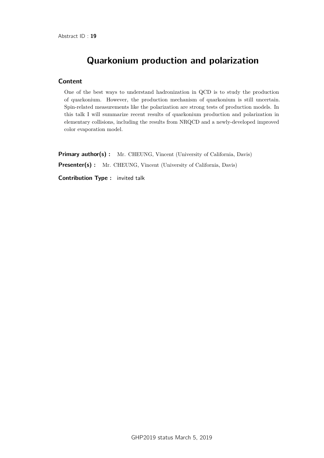# Quarkonium production and polarization

#### Content

One of the best ways to understand hadronization in QCD is to study the production of quarkonium. However, the production mechanism of quarkonium is still uncertain. Spin-related measurements like the polarization are strong tests of production models. In this talk I will summarize recent results of quarkonium production and polarization in elementary collisions, including the results from NRQCD and a newly-developed improved color evaporation model.

**Primary author(s)**: Mr. CHEUNG, Vincent (University of California, Davis) Presenter(s) : Mr. CHEUNG, Vincent (University of California, Davis)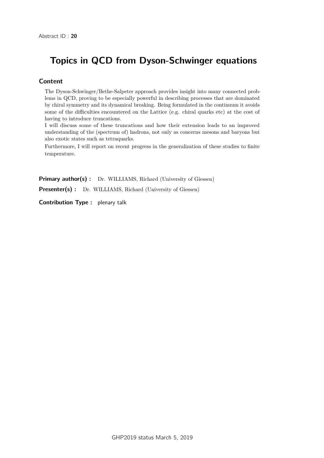# Topics in QCD from Dyson-Schwinger equations

#### Content

The Dyson-Schwinger/Bethe-Salpeter approach provides insight into many connected problems in QCD, proving to be especially powerful in describing processes that are dominated by chiral symmetry and its dynamical breaking. Being formulated in the continuum it avoids some of the difficulties encountered on the Lattice (e.g. chiral quarks etc) at the cost of having to introduce truncations.

I will discuss some of these truncations and how their extension leads to an improved understanding of the (spectrum of) hadrons, not only as concerns mesons and baryons but also exotic states such as tetraquarks.

Furthermore, I will report on recent progress in the generalization of these studies to finite temperature.

Primary author(s) : Dr. WILLIAMS, Richard (University of Giessen)

Presenter(s) : Dr. WILLIAMS, Richard (University of Giessen)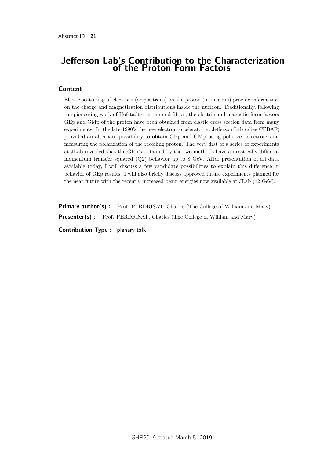### Jefferson Lab's Contribution to the Characterization of the Proton Form Factors

#### **Content**

Elastic scattering of electrons (or positrons) on the proton (or neutron) provide information on the charge and magnetization distributions inside the nucleon. Traditionally, following the pioneering work of Hofstadter in the mid-fifties, the electric and magnetic form factors GEp and GMp of the proton have been obtained from elastic cross section data from many experiments. In the late 1990's the new electron accelerator at Jefferson Lab (alias CEBAF) provided an alternate possibility to obtain GEp and GMp using polarized electrons and measuring the polarization of the recoiling proton. The very first of a series of experiments at JLab revealed that the GEp's obtained by the two methods have a drastically different momentum transfer squared (Q2) behavior up to 8 GeV. After presentation of all data available today, I will discuss a few candidate possibilities to explain this difference in behavior of GEp results. I will also briefly discuss approved future experiments planned for the near future with the recently increased beam energies now available at JLab (12 GeV).

**Primary author(s):** Prof. PERDRISAT, Charles (The College of William and Mary) **Presenter(s)**: Prof. PERDRISAT, Charles (The College of William and Mary)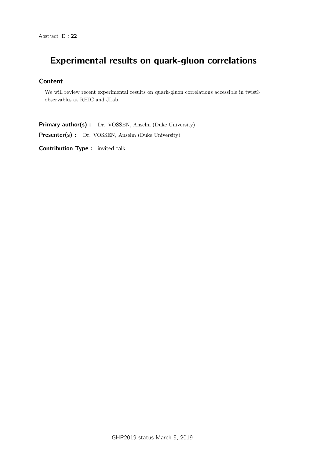# Experimental results on quark-gluon correlations

#### Content

We will review recent experimental results on quark-gluon correlations accessible in twist3 observables at RHIC and JLab.

Primary author(s) : Dr. VOSSEN, Anselm (Duke University)

Presenter(s) : Dr. VOSSEN, Anselm (Duke University)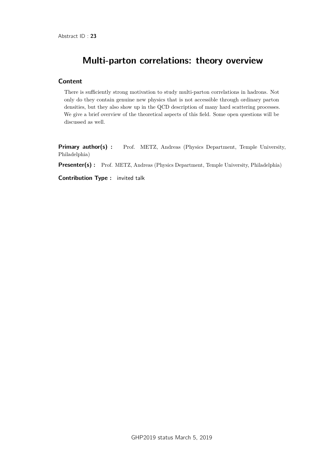# Multi-parton correlations: theory overview

#### Content

There is sufficiently strong motivation to study multi-parton correlations in hadrons. Not only do they contain genuine new physics that is not accessible through ordinary parton densities, but they also show up in the QCD description of many hard scattering processes. We give a brief overview of the theoretical aspects of this field. Some open questions will be discussed as well.

Primary author(s) : Prof. METZ, Andreas (Physics Department, Temple University, Philadelphia)

Presenter(s) : Prof. METZ, Andreas (Physics Department, Temple University, Philadelphia)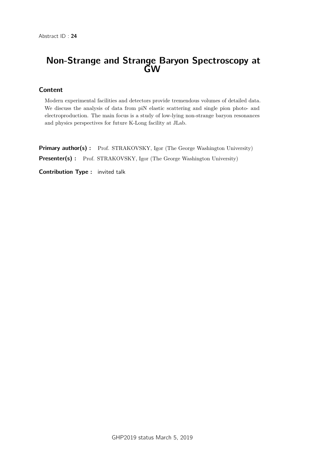# Non-Strange and Strange Baryon Spectroscopy at GW

#### Content

Modern experimental facilities and detectors provide tremendous volumes of detailed data. We discuss the analysis of data from piN elastic scattering and single pion photo- and electroproduction. The main focus is a study of low-lying non-strange baryon resonances and physics perspectives for future K-Long facility at JLab.

Primary author(s) : Prof. STRAKOVSKY, Igor (The George Washington University) Presenter(s) : Prof. STRAKOVSKY, Igor (The George Washington University)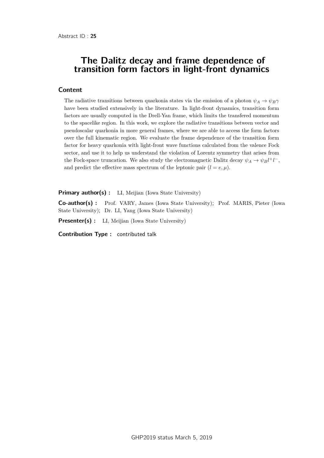### The Dalitz decay and frame dependence of transition form factors in light-front dynamics

#### **Content**

The radiative transitions between quarkonia states via the emission of a photon  $\psi_A \to \psi_B \gamma$ have been studied extensively in the literature. In light-front dynamics, transition form factors are usually computed in the Drell-Yan frame, which limits the transfered momentum to the spacelike region. In this work, we explore the radiative transitions between vector and pseudoscalar quarkonia in more general frames, where we are able to access the form factors over the full kinematic region. We evaluate the frame dependence of the transition form factor for heavy quarkonia with light-front wave functions calculated from the valence Fock sector, and use it to help us understand the violation of Lorentz symmetry that arises from the Fock-space truncation. We also study the electromagnetic Dalitz decay  $\psi_A \to \psi_B l^+ l^-$ , and predict the effective mass spectrum of the leptonic pair  $(l = e, \mu)$ .

Primary author(s) : LI, Meijian (Iowa State University)

Co-author(s) : Prof. VARY, James (Iowa State University); Prof. MARIS, Pieter (Iowa State University); Dr. LI, Yang (Iowa State University)

**Presenter(s)** : LI, Meijian (Iowa State University)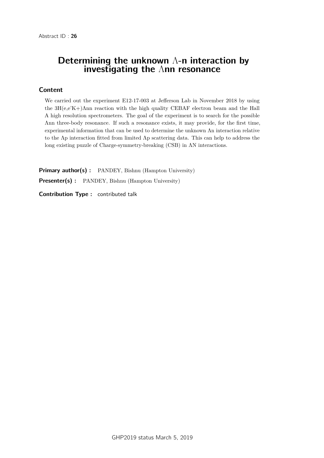# Determining the unknown Λ-n interaction by investigating the Λnn resonance

#### Content

We carried out the experiment E12-17-003 at Jefferson Lab in November 2018 by using the  $3H(e,e'K+)$ Λnn reaction with the high quality CEBAF electron beam and the Hall A high resolution spectrometers. The goal of the experiment is to search for the possible Λnn three-body resonance. If such a resonance exists, it may provide, for the first time, experimental information that can be used to determine the unknown Λn interaction relative to the Λp interaction fitted from limited Λp scattering data. This can help to address the long existing puzzle of Charge-symmetry-breaking (CSB) in ΛN interactions.

Primary author(s) : PANDEY, Bishnu (Hampton University) Presenter(s) : PANDEY, Bishnu (Hampton University)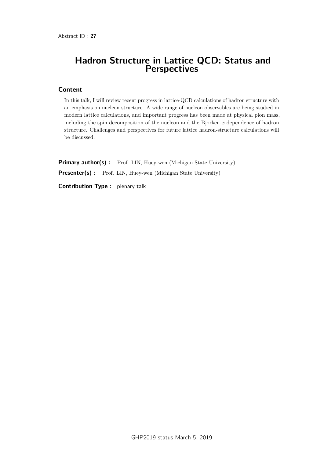### Hadron Structure in Lattice QCD: Status and **Perspectives**

#### Content

In this talk, I will review recent progress in lattice-QCD calculations of hadron structure with an emphasis on nucleon structure. A wide range of nucleon observables are being studied in modern lattice calculations, and important progress has been made at physical pion mass, including the spin decomposition of the nucleon and the Bjorken-*x* dependence of hadron structure. Challenges and perspectives for future lattice hadron-structure calculations will be discussed.

Primary author(s) : Prof. LIN, Huey-wen (Michigan State University) Presenter(s) : Prof. LIN, Huey-wen (Michigan State University) Contribution Type : plenary talk

GHP2019 status March 5, 2019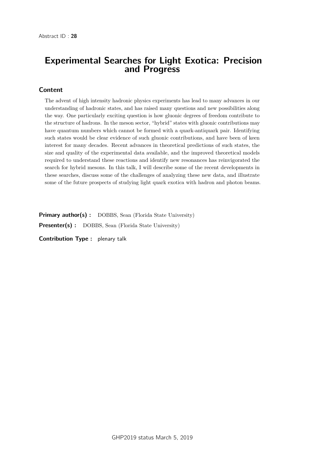# Experimental Searches for Light Exotica: Precision and Progress

#### Content

The advent of high intensity hadronic physics experiments has lead to many advances in our understanding of hadronic states, and has raised many questions and new possibilities along the way. One particularly exciting question is how gluonic degrees of freedom contribute to the structure of hadrons. In the meson sector, "hybrid" states with gluonic contributions may have quantum numbers which cannot be formed with a quark-antiquark pair. Identifying such states would be clear evidence of such gluonic contributions, and have been of keen interest for many decades. Recent advances in theoretical predictions of such states, the size and quality of the experimental data available, and the improved theoretical models required to understand these reactions and identify new resonances has reinvigorated the search for hybrid mesons. In this talk, I will describe some of the recent developments in these searches, discuss some of the challenges of analyzing these new data, and illustrate some of the future prospects of studying light quark exotica with hadron and photon beams.

Primary author(s) : DOBBS, Sean (Florida State University) Presenter(s) : DOBBS, Sean (Florida State University)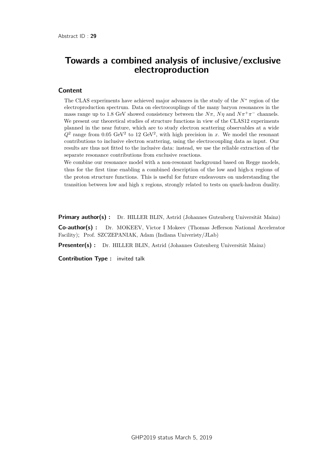# Towards a combined analysis of inclusive/exclusive electroproduction

#### Content

The CLAS experiments have achieved major advances in the study of the *N*<sup>∗</sup> region of the electroproduction spectrum. Data on electrocouplings of the many baryon resonances in the mass range up to 1.8 GeV showed consistency between the  $N\pi$ ,  $N\eta$  and  $N\pi^+\pi^-$  channels. We present our theoretical studies of structure functions in view of the CLAS12 experiments planned in the near future, which are to study electron scattering observables at a wide  $Q^2$  range from 0.05 GeV<sup>2</sup> to 12 GeV<sup>2</sup>, with high precision in *x*. We model the resonant contributions to inclusive electron scattering, using the electrocoupling data as input. Our results are thus not fitted to the inclusive data: instead, we use the reliable extraction of the separate resonance contributions from exclusive reactions.

We combine our resonance model with a non-resonant background based on Regge models, thus for the first time enabling a combined description of the low and high-x regions of the proton structure functions. This is useful for future endeavours on understanding the transition between low and high x regions, strongly related to tests on quark-hadron duality.

Primary author(s) : Dr. HILLER BLIN, Astrid (Johannes Gutenberg Universität Mainz)

Co-author(s) : Dr. MOKEEV, Victor I Mokeev (Thomas Jefferson National Accelerator Facility); Prof. SZCZEPANIAK, Adam (Indiana Univeristy/JLab)

**Presenter(s)** : Dr. HILLER BLIN, Astrid (Johannes Gutenberg Universität Mainz)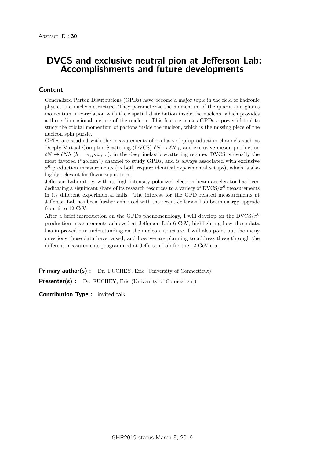# DVCS and exclusive neutral pion at Jefferson Lab: Accomplishments and future developments

#### Content

Generalized Parton Distributions (GPDs) have become a major topic in the field of hadronic physics and nucleon structure. They parameterize the momentum of the quarks and gluons momentum in correlation with their spatial distribution inside the nucleon, which provides a three-dimensional picture of the nucleon. This feature makes GPDs a powerful tool to study the orbital momentum of partons inside the nucleon, which is the missing piece of the nucleon spin puzzle.

GPDs are studied with the measurements of exclusive leptoproduction channels such as Deeply Virtual Compton Scattering (DVCS)  $\ell N \to \ell N \gamma$ , and exclusive meson production  $\ell N \to \ell N h$  ( $h = \pi, \rho, \omega, ...$ ), in the deep inelastic scattering regime. DVCS is usually the most favored ("golden") channel to study GPDs, and is always associated with exclusive *π* <sup>0</sup> production measurements (as both require identical experimental setups), which is also highly relevant for flavor separation.

Jefferson Laboratory, with its high intensity polarized electron beam accelerator has been dedicating a significant share of its research resources to a variety of  $\text{DVCS}/\pi^0$  measurements in its different experimental halls. The interest for the GPD related measurements at Jefferson Lab has been further enhanced with the recent Jefferson Lab beam energy upgrade from 6 to 12 GeV.

After a brief introduction on the GPDs phenomenology, I will develop on the  $DVCS/\pi^0$ production measurements achieved at Jefferson Lab 6 GeV, highlighting how these data has improved our understanding on the nucleon structure. I will also point out the many questions those data have raised, and how we are planning to address these through the different measurements programmed at Jefferson Lab for the 12 GeV era.

**Primary author(s):** Dr. FUCHEY, Eric (University of Connecticut) Presenter(s) : Dr. FUCHEY, Eric (University of Connecticut)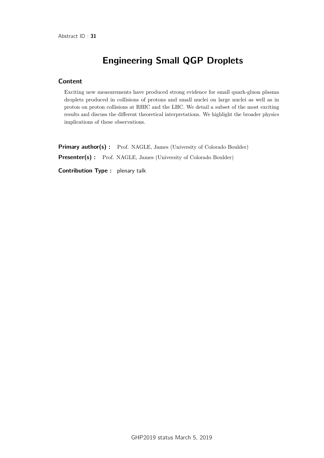# Engineering Small QGP Droplets

#### Content

Exciting new measurements have produced strong evidence for small quark-gluon plasma droplets produced in collisions of protons and small nuclei on large nuclei as well as in proton on proton collisions at RHIC and the LHC. We detail a subset of the most exciting results and discuss the different theoretical interpretations. We highlight the broader physics implications of these observations.

Primary author(s) : Prof. NAGLE, James (University of Colorado Boulder) Presenter(s) : Prof. NAGLE, James (University of Colorado Boulder)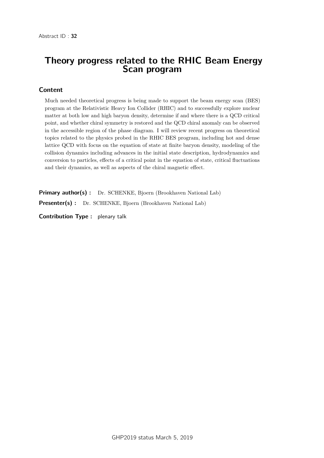# Theory progress related to the RHIC Beam Energy Scan program

#### Content

Much needed theoretical progress is being made to support the beam energy scan (BES) program at the Relativistic Heavy Ion Collider (RHIC) and to successfully explore nuclear matter at both low and high baryon density, determine if and where there is a QCD critical point, and whether chiral symmetry is restored and the QCD chiral anomaly can be observed in the accessible region of the phase diagram. I will review recent progress on theoretical topics related to the physics probed in the RHIC BES program, including hot and dense lattice QCD with focus on the equation of state at finite baryon density, modeling of the collision dynamics including advances in the initial state description, hydrodynamics and conversion to particles, effects of a critical point in the equation of state, critical fluctuations and their dynamics, as well as aspects of the chiral magnetic effect.

Primary author(s) : Dr. SCHENKE, Bjoern (Brookhaven National Lab) Presenter(s) : Dr. SCHENKE, Bjoern (Brookhaven National Lab)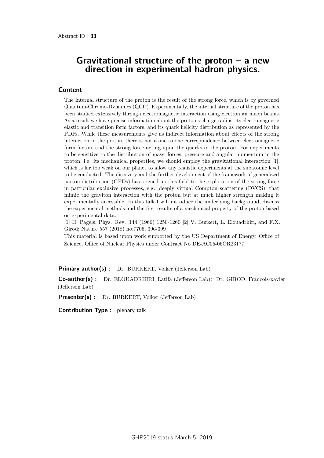### Gravitational structure of the proton  $-$  a new direction in experimental hadron physics.

#### **Content**

The internal structure of the proton is the result of the strong force, which is by governed Quantum-Chromo-Dynamics (QCD). Experimentally, the internal structure of the proton has been studied extensively through electromagnetic interaction using electron an muon beams. As a result we have precise information about the proton's charge radius, its electromagnetic elastic and transition form factors, and its quark helicity distribution as represented by the PDFs. While these measurements give us indirect information about effects of the strong interaction in the proton, there is not a one-to-one correspondence between electromagnetic form factors and the strong force acting upon the quarks in the proton. For experiments to be sensitive to the distribution of mass, forces, pressure and angular momentum in the proton, i.e. its mechanical properties, we should employ the gravitational interaction [1], which is far too weak on our planet to allow any realistic experiments at the subatomic level to be conducted. The discovery and the further development of the framework of generalized parton distribution (GPDs) has opened up this field to the exploration of the strong force in particular exclusive processes, e.g. deeply virtual Compton scattering (DVCS), that mimic the graviton interaction with the proton but at much higher strength making it experimentally accessible. In this talk I will introduce the underlying background, discuss the experimental methods and the first results of a mechanical property of the proton based on experimental data.

[1] H. Pagels, Phys. Rev. 144 (1966) 1250-1260 [2] V. Burkert, L. Elouadrhiri, and F.X. Girod; Nature 557 (2018) no.7705, 396-399

This material is based upon work supported by the US Department of Energy, Office of Science, Office of Nuclear Physics under Contract No DE-AC05-06OR23177

Primary author(s) : Dr. BURKERT, Volker (Jefferson Lab)

Co-author(s) : Dr. ELOUADRHIRI, Latifa (Jefferson Lab); Dr. GIROD, Francois-xavier (Jefferson Lab)

Presenter(s) : Dr. BURKERT, Volker (Jefferson Lab)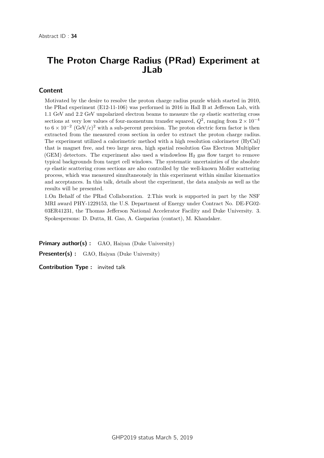# The Proton Charge Radius (PRad) Experiment at JLab

#### Content

Motivated by the desire to resolve the proton charge radius puzzle which started in 2010, the PRad experiment (E12-11-106) was performed in 2016 in Hall B at Jefferson Lab, with 1.1 GeV and 2.2 GeV unpolarized electron beams to measure the *ep* elastic scattering cross sections at very low values of four-momentum transfer squared,  $Q^2$ , ranging from  $2 \times 10^{-4}$ to  $6 \times 10^{-2}$  (GeV/c)<sup>2</sup> with a sub-percent precision. The proton electric form factor is then extracted from the measured cross section in order to extract the proton charge radius. The experiment utilized a calorimetric method with a high resolution calorimeter (HyCal) that is magnet free, and two large area, high spatial resolution Gas Electron Multiplier (GEM) detectors. The experiment also used a windowless  $H_2$  gas flow target to remove typical backgrounds from target cell windows. The systematic uncertainties of the absolute *ep* elastic scattering cross sections are also controlled by the well-known Moller scattering process, which was measured simultaneously in this experiment within similar kinematics and acceptances. In this talk, details about the experiment, the data analysis as well as the results will be presented.

1.On Behalf of the PRad Collaboration. 2.This work is supported in part by the NSF MRI award PHY-1229153, the U.S. Department of Energy under Contract No. DE-FG02- 03ER41231, the Thomas Jefferson National Accelerator Facility and Duke University. 3. Spokespersons: D. Dutta, H. Gao, A. Gasparian (contact), M. Khandaker.

Primary author(s): GAO, Haiyan (Duke University) Presenter(s) : GAO, Haiyan (Duke University)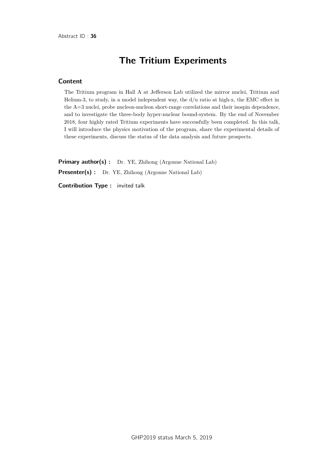# The Tritium Experiments

#### Content

The Tritium program in Hall A at Jefferson Lab utilized the mirror nuclei, Tritium and Helium-3, to study, in a model independent way, the d/u ratio at high-x, the EMC effect in the A=3 nuclei, probe nucleon-nucleon short-range correlations and their isospin dependence, and to investigate the three-body hyper-nuclear bound-system. By the end of November 2018, four highly rated Tritium experiments have successfully been completed. In this talk, I will introduce the physics motivation of the program, share the experimental details of these experiments, discuss the status of the data analysis and future prospects.

Primary author(s) : Dr. YE, Zhihong (Argonne National Lab)

Presenter(s) : Dr. YE, Zhihong (Argonne National Lab)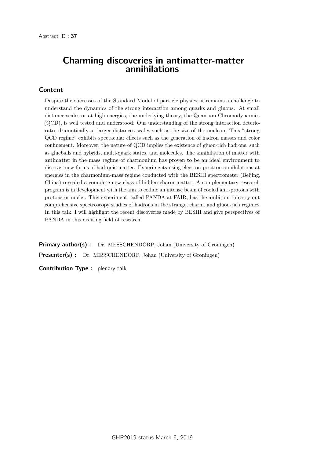### Charming discoveries in antimatter-matter annihilations

#### Content

Despite the successes of the Standard Model of particle physics, it remains a challenge to understand the dynamics of the strong interaction among quarks and gluons. At small distance scales or at high energies, the underlying theory, the Quantum Chromodynamics (QCD), is well tested and understood. Our understanding of the strong interaction deteriorates dramatically at larger distances scales such as the size of the nucleon. This "strong QCD regime" exhibits spectacular effects such as the generation of hadron masses and color confinement. Moreover, the nature of QCD implies the existence of gluon-rich hadrons, such as glueballs and hybrids, multi-quark states, and molecules. The annihilation of matter with antimatter in the mass regime of charmonium has proven to be an ideal environment to discover new forms of hadronic matter. Experiments using electron-positron annihilations at energies in the charmonium-mass regime conducted with the BESIII spectrometer (Beijing, China) revealed a complete new class of hidden-charm matter. A complementary research program is in development with the aim to collide an intense beam of cooled anti-protons with protons or nuclei. This experiment, called PANDA at FAIR, has the ambition to carry out comprehensive spectroscopy studies of hadrons in the strange, charm, and gluon-rich regimes. In this talk, I will highlight the recent discoveries made by BESIII and give perspectives of PANDA in this exciting field of research.

**Primary author(s):** Dr. MESSCHENDORP, Johan (University of Groningen) **Presenter(s)** : Dr. MESSCHENDORP, Johan (University of Groningen)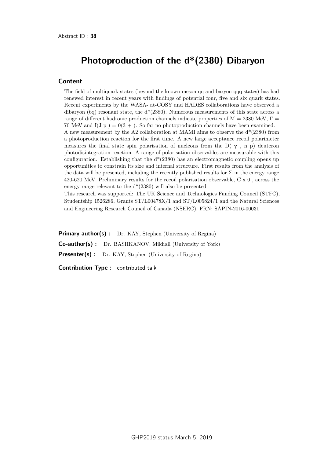# Photoproduction of the d\*(2380) Dibaryon

#### **Content**

The field of multiquark states (beyond the known meson qq and baryon qqq states) has had renewed interest in recent years with findings of potential four, five and six quark states. Recent experiments by the WASA- at-COSY and HADES collaborations have observed a dibaryon (6q) resonant state, the  $d*(2380)$ . Numerous measurements of this state across a range of different hadronic production channels indicate properties of  $M = 2380$  MeV,  $\Gamma =$ 70 MeV and  $I(J p) = 0(3 +)$ . So far no photoproduction channels have been examined. A new measurement by the A2 collaboration at MAMI aims to observe the  $d^*(2380)$  from a photoproduction reaction for the first time. A new large acceptance recoil polarimeter measures the final state spin polarisation of nucleons from the D( $\gamma$ , n p) deuteron photodisintegration reaction. A range of polarisation observables are measurable with this configuration. Establishing that the  $d^*(2380)$  has an electromagnetic coupling opens up opportunities to constrain its size and internal structure. First results from the analysis of the data will be presented, including the recently published results for  $\Sigma$  in the energy range 420-620 MeV. Preliminary results for the recoil polarisation observable, C x 0 , across the energy range relevant to the d\*(2380) will also be presented.

This research was supported: The UK Science and Technologies Funding Council (STFC), Studentship 1526286, Grants ST/L00478X/1 and ST/L005824/1 and the Natural Sciences and Engineering Research Council of Canada (NSERC), FRN: SAPIN-2016-00031

**Primary author(s):** Dr. KAY, Stephen (University of Regina) Co-author(s) : Dr. BASHKANOV, Mikhail (University of York) Presenter(s) : Dr. KAY, Stephen (University of Regina)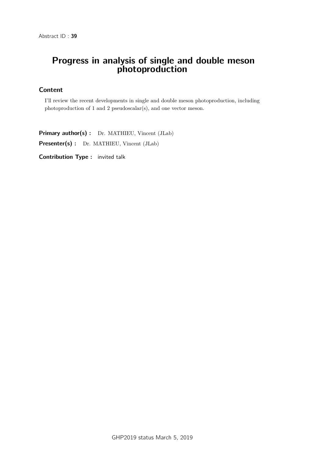# Progress in analysis of single and double meson photoproduction

## **Content**

I'll review the recent developments in single and double meson photoproduction, including photoproduction of 1 and 2 pseudoscalar(s), and one vector meson.

Primary author(s) : Dr. MATHIEU, Vincent (JLab)

Presenter(s) : Dr. MATHIEU, Vincent (JLab)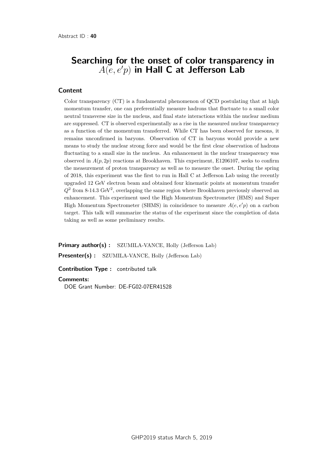# Searching for the onset of color transparency in  $A(e, e'p)$  in Hall C at Jefferson Lab

#### Content

Color transparency (CT) is a fundamental phenomenon of QCD postulating that at high momentum transfer, one can preferentially measure hadrons that fluctuate to a small color neutral transverse size in the nucleus, and final state interactions within the nuclear medium are suppressed. CT is observed experimentally as a rise in the measured nuclear transparency as a function of the momentum transferred. While CT has been observed for mesons, it remains unconfirmed in baryons. Observation of CT in baryons would provide a new means to study the nuclear strong force and would be the first clear observation of hadrons fluctuating to a small size in the nucleus. An enhancement in the nuclear transparency was observed in  $A(p, 2p)$  reactions at Brookhaven. This experiment, E1206107, seeks to confirm the measurement of proton transparency as well as to measure the onset. During the spring of 2018, this experiment was the first to run in Hall C at Jefferson Lab using the recently upgraded 12 GeV electron beam and obtained four kinematic points at momentum transfer  $Q<sup>2</sup>$  from 8-14.3 GeV<sup>2</sup>, overlapping the same region where Brookhaven previously observed an enhancement. This experiment used the High Momentum Spectrometer (HMS) and Super High Momentum Spectrometer (SHMS) in coincidence to measure  $A(e, e'p)$  on a carbon target. This talk will summarize the status of the experiment since the completion of data taking as well as some preliminary results.

**Primary author(s):** SZUMILA-VANCE, Holly (Jefferson Lab) Presenter(s) : SZUMILA-VANCE, Holly (Jefferson Lab)

Contribution Type : contributed talk

#### **Comments:**

DOE Grant Number: DE-FG02-07ER41528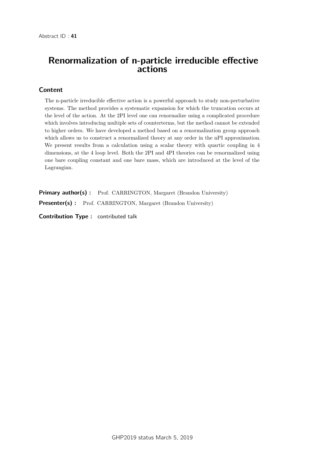# Renormalization of n-particle irreducible effective actions

## Content

The n-particle irreducible effective action is a powerful approach to study non-perturbative systems. The method provides a systematic expansion for which the truncation occurs at the level of the action. At the 2PI level one can renormalize using a complicated procedure which involves introducing multiple sets of counterterms, but the method cannot be extended to higher orders. We have developed a method based on a renormalization group approach which allows us to construct a renormalized theory at any order in the nPI approximation. We present results from a calculation using a scalar theory with quartic coupling in 4 dimensions, at the 4 loop level. Both the 2PI and 4PI theories can be renormalized using one bare coupling constant and one bare mass, which are introduced at the level of the Lagrangian.

Primary author(s) : Prof. CARRINGTON, Margaret (Brandon University) Presenter(s) : Prof. CARRINGTON, Margaret (Brandon University)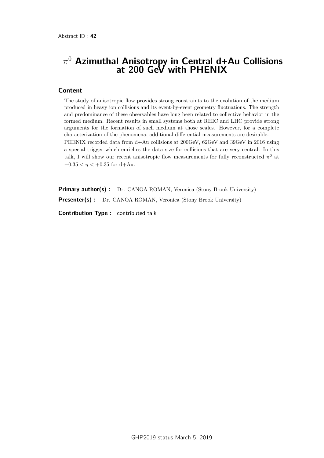# *π* <sup>0</sup> Azimuthal Anisotropy in Central d+Au Collisions at 200 GeV with PHENIX

#### Content

The study of anisotropic flow provides strong constraints to the evolution of the medium produced in heavy ion collisions and its event-by-event geometry fluctuations. The strength and predominance of these observables have long been related to collective behavior in the formed medium. Recent results in small systems both at RHIC and LHC provide strong arguments for the formation of such medium at those scales. However, for a complete characterization of the phenomena, additional differential measurements are desirable. PHENIX recorded data from d+Au collisions at 200GeV, 62GeV and 39GeV in 2016 using a special trigger which enriches the data size for collisions that are very central. In this talk, I will show our recent anisotropic flow measurements for fully reconstructed  $\pi^0$  at  $-0.35 < \eta < +0.35$  for d+Au.

Primary author(s) : Dr. CANOA ROMAN, Veronica (Stony Brook University) **Presenter(s)**: Dr. CANOA ROMAN, Veronica (Stony Brook University)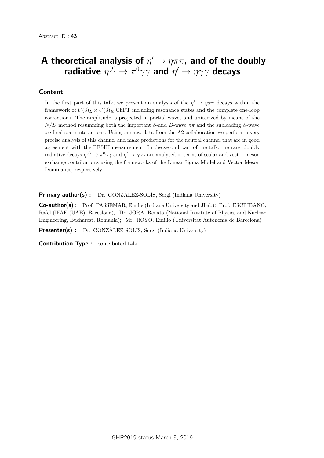# A theoretical analysis of  $\eta' \to \eta \pi \pi$ , and of the doubly radiative  $\eta^{(\prime)}\rightarrow\pi^{0}\gamma\gamma$  and  $\eta^{\prime}\rightarrow\eta\gamma\gamma$  decays

## **Content**

In the first part of this talk, we present an analysis of the  $\eta' \to \eta \pi \pi$  decays within the framework of  $U(3)<sub>L</sub> \times U(3)<sub>R</sub>$  ChPT including resonance states and the complete one-loop corrections. The amplitude is projected in partial waves and unitarized by means of the *N/D* method resumming both the important *S*-and *D*-wave *ππ* and the subleading *S*-wave *πη* final-state interactions. Using the new data from the A2 collaboration we perform a very precise analysis of this channel and make predictions for the neutral channel that are in good agreement with the BESIII measurement. In the second part of the talk, the rare, doubly radiative decays  $\eta^{(l)} \to \pi^0 \gamma \gamma$  and  $\eta' \to \eta \gamma \gamma$  are analysed in terms of scalar and vector meson exchange contributions using the frameworks of the Linear Sigma Model and Vector Meson Dominance, respectively.

**Primary author(s)**: Dr. GONZÀLEZ-SOLÍS, Sergi (Indiana University)

Co-author(s) : Prof. PASSEMAR, Emilie (Indiana University and JLab); Prof. ESCRIBANO, Rafel (IFAE (UAB), Barcelona); Dr. JORA, Renata (National Institute of Physics and Nuclear Engineering, Bucharest, Romania); Mr. ROYO, Emilio (Universitat Autònoma de Barcelona)

**Presenter(s)** : Dr. GONZÀLEZ-SOLÍS, Sergi (Indiana University)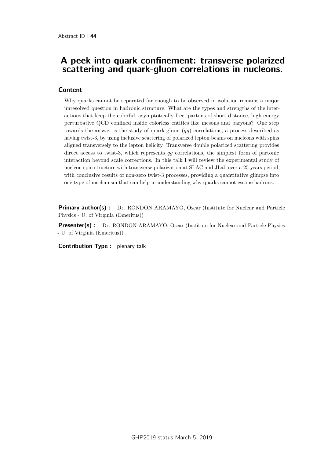## A peek into quark confinement: transverse polarized scattering and quark-gluon correlations in nucleons.

### **Content**

Why quarks cannot be separated far enough to be observed in isolation remains a major unresolved question in hadronic structure: What are the types and strengths of the interactions that keep the colorful, asymptotically free, partons of short distance, high energy perturbative QCD confined inside colorless entities like mesons and baryons? One step towards the answer is the study of quark-gluon (*qg*) correlations, a process described as having twist-3, by using inclusive scattering of polarized lepton beams on nucleons with spins aligned transversely to the lepton helicity. Transverse double polarized scattering provides direct access to twist-3, which represents *qg* correlations, the simplest form of partonic interaction beyond scale corrections. In this talk I will review the experimental study of nucleon spin structure with transverse polarization at SLAC and JLab over a 25 years period, with conclusive results of non-zero twist-3 processes, providing a quantitative glimpse into one type of mechanism that can help in understanding why quarks cannot escape hadrons.

**Primary author(s) :** Dr. RONDON ARAMAYO, Oscar (Institute for Nuclear and Particle Physics - U. of Virginia (Emeritus))

**Presenter(s) :** Dr. RONDON ARAMAYO, Oscar (Institute for Nuclear and Particle Physics - U. of Virginia (Emeritus))

Contribution Type : plenary talk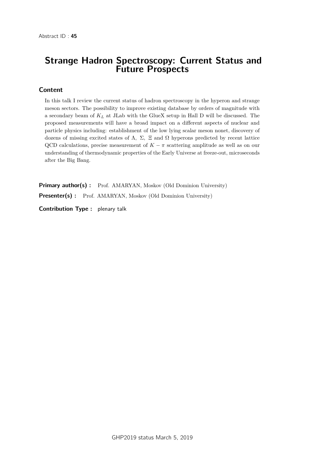## Strange Hadron Spectroscopy: Current Status and Future Prospects

### Content

In this talk I review the current status of hadron spectroscopy in the hyperon and strange meson sectors. The possibility to improve existing database by orders of magnitude with a secondary beam of *K<sup>L</sup>* at JLab with the GlueX setup in Hall D will be discussed. The proposed measurements will have a broad impact on a different aspects of nuclear and particle physics including: establishment of the low lying scalar meson nonet, discovery of dozens of missing excited states of  $Λ$ ,  $Σ$ ,  $Xi$  and  $Ω$  hyperons predicted by recent lattice QCD calculations, precise measurement of  $K - \pi$  scattering amplitude as well as on our understanding of thermodynamic properties of the Early Universe at freeze-out, microseconds after the Big Bang.

Primary author(s) : Prof. AMARYAN, Moskov (Old Dominion University) Presenter(s) : Prof. AMARYAN, Moskov (Old Dominion University)

Contribution Type : plenary talk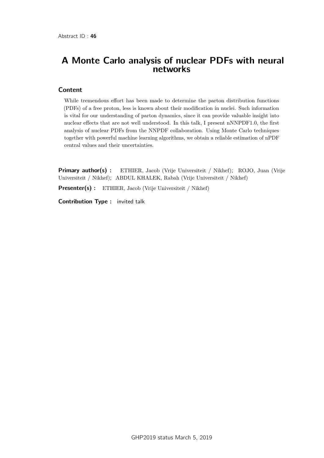# A Monte Carlo analysis of nuclear PDFs with neural networks

### Content

While tremendous effort has been made to determine the parton distribution functions (PDFs) of a free proton, less is known about their modification in nuclei. Such information is vital for our understanding of parton dynamics, since it can provide valuable insight into nuclear effects that are not well understood. In this talk, I present nNNPDF1.0, the first analysis of nuclear PDFs from the NNPDF collaboration. Using Monte Carlo techniques together with powerful machine learning algorithms, we obtain a reliable estimation of nPDF central values and their uncertainties.

**Primary author(s):** ETHIER, Jacob (Vrije Universiteit / Nikhef); ROJO, Juan (Vrije Universiteit / Nikhef); ABDUL KHALEK, Rabah (Vrije Universiteit / Nikhef)

Presenter(s) : ETHIER, Jacob (Vrije Universiteit / Nikhef)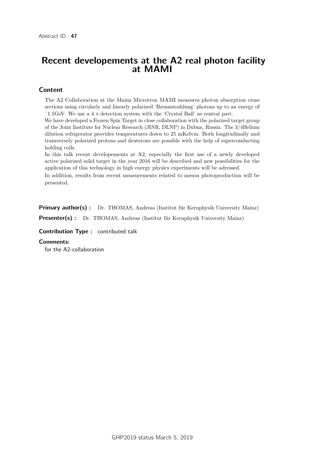## Recent developements at the A2 real photon facility at MAMI

### Content

The A2 Collaboration at the Mainz Microtron MAMI measures photon absorption cross sections using circularly and linearly polarized 'Bremsstrahlung' photons up to an energy of ~1.5GeV. We use a 4  $\pi$  detection system with the 'Crystal Ball' as central part.

We have developed a Frozen Spin Target in close collaboration with the polarized target group of the Joint Institute for Nuclear Research (JINR, DLNP) in Dubna, Russia. The 3/4Helium dilution refrigerator provides temperatures down to 25 mKelvin. Both longitudinally and transversely polarized protons and deuterons are possible with the help of superconducting holding coils.

In this talk recent developements at A2, especially the first use of a newly developed active polarized solid target in the year 2016 will be described and new possibilities for the application of this technology in high energy physics experiments will be adressed.

In addition, results from recent measurements related to meson photoproduction will be presented.

Primary author(s) : Dr. THOMAS, Andreas (Institut für Kernphysik University Mainz)

Presenter(s) : Dr. THOMAS, Andreas (Institut für Kernphysik University Mainz)

#### Contribution Type : contributed talk

#### **Comments:**

for the A2-collaboration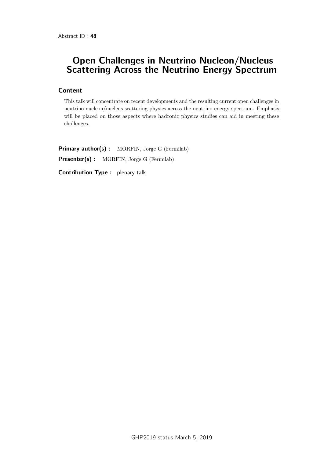# Open Challenges in Neutrino Nucleon/Nucleus Scattering Across the Neutrino Energy Spectrum

### Content

This talk will concentrate on recent developments and the resulting current open challenges in neutrino nucleon/nucleus scattering physics across the neutrino energy spectrum. Emphasis will be placed on those aspects where hadronic physics studies can aid in meeting these challenges.

Primary author(s) : MORFIN, Jorge G (Fermilab) Presenter(s) : MORFIN, Jorge G (Fermilab)

Contribution Type : plenary talk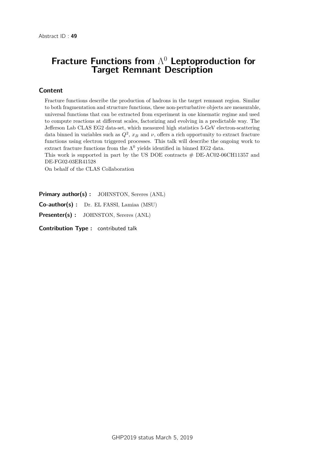# Fracture Functions from  $\Lambda^0$  Leptoproduction for Target Remnant Description

### Content

Fracture functions describe the production of hadrons in the target remnant region. Similar to both fragmentation and structure functions, these non-perturbative objects are measurable, universal functions that can be extracted from experiment in one kinematic regime and used to compute reactions at different scales, factorizing and evolving in a predictable way. The Jefferson Lab CLAS EG2 data-set, which measured high statistics 5-GeV electron-scattering data binned in variables such as  $Q^2$ ,  $x_B$  and  $\nu$ , offers a rich opportunity to extract fracture functions using electron triggered processes. This talk will describe the ongoing work to extract fracture functions from the  $\Lambda^0$  yields identified in binned EG2 data.

This work is supported in part by the US DOE contracts  $#$  DE-AC02-06CH11357 and DE-FG02-03ER41528

On behalf of the CLAS Collaboration

Primary author(s) : JOHNSTON, Sereres (ANL)

Co-author(s) : Dr. EL FASSI, Lamiaa (MSU)

Presenter(s) : JOHNSTON, Sereres (ANL)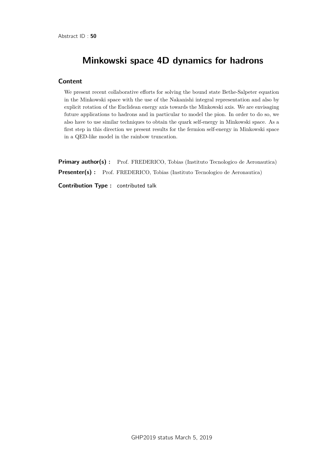# Minkowski space 4D dynamics for hadrons

### **Content**

We present recent collaborative efforts for solving the bound state Bethe-Salpeter equation in the Minkowski space with the use of the Nakanishi integral representation and also by explicit rotation of the Euclidean energy axis towards the Minkowski axis. We are envisaging future applications to hadrons and in particular to model the pion. In order to do so, we also have to use similar techniques to obtain the quark self-energy in Minkowski space. As a first step in this direction we present results for the fermion self-energy in Minkowski space in a QED-like model in the rainbow truncation.

**Primary author(s):** Prof. FREDERICO, Tobias (Instituto Tecnologico de Aeronautica) Presenter(s) : Prof. FREDERICO, Tobias (Instituto Tecnologico de Aeronautica) Contribution Type : contributed talk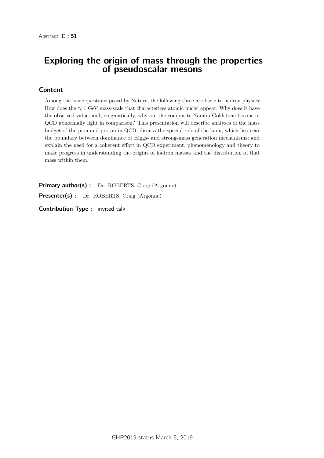## Exploring the origin of mass through the properties of pseudoscalar mesons

### Content

Among the basic questions posed by Nature, the following three are basic to hadron physics: How does the  $\approx 1$  GeV mass-scale that characterizes atomic nuclei appear; Why does it have the observed value; and, enigmatically, why are the composite Nambu-Goldstone bosons in QCD abnormally light in comparison? This presentation will describe analyses of the mass budget of the pion and proton in QCD; discuss the special role of the kaon, which lies near the boundary between dominance of Higgs- and strong-mass generation mechanisms; and explain the need for a coherent effort in QCD experiment, phenomenology and theory to make progress in understanding the origins of hadron masses and the distribution of that mass within them.

Primary author(s) : Dr. ROBERTS, Craig (Argonne) Presenter(s) : Dr. ROBERTS, Craig (Argonne)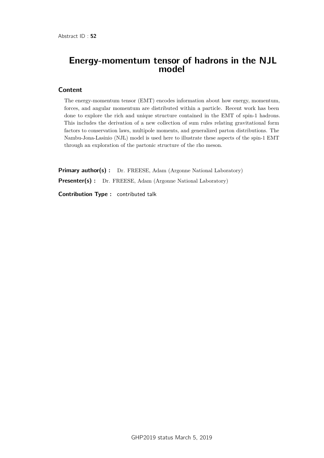## Energy-momentum tensor of hadrons in the NJL model

#### Content

The energy-momentum tensor (EMT) encodes information about how energy, momentum, forces, and angular momentum are distributed within a particle. Recent work has been done to explore the rich and unique structure contained in the EMT of spin-1 hadrons. This includes the derivation of a new collection of sum rules relating gravitational form factors to conservation laws, multipole moments, and generalized parton distributions. The Nambu-Jona-Lasinio (NJL) model is used here to illustrate these aspects of the spin-1 EMT through an exploration of the partonic structure of the rho meson.

Primary author(s) : Dr. FREESE, Adam (Argonne National Laboratory) Presenter(s) : Dr. FREESE, Adam (Argonne National Laboratory)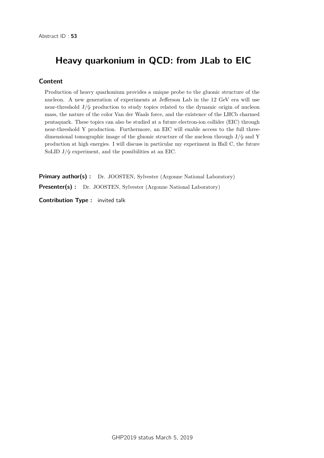# Heavy quarkonium in QCD: from JLab to EIC

### Content

Production of heavy quarkonium provides a unique probe to the gluonic structure of the nucleon. A new generation of experiments at Jefferson Lab in the 12 GeV era will use near-threshold  $J/\psi$  production to study topics related to the dynamic origin of nucleon mass, the nature of the color Van der Waals force, and the existence of the LHCb charmed pentaquark. These topics can also be studied at a future electron-ion collider (EIC) through near-threshold Y production. Furthermore, an EIC will enable access to the full threedimensional tomographic image of the gluonic structure of the nucleon through  $J/\psi$  and Y production at high energies. I will discuss in particular my experiment in Hall C, the future SoLID  $J/\psi$  experiment, and the possibilities at an EIC.

Primary author(s) : Dr. JOOSTEN, Sylvester (Argonne National Laboratory) Presenter(s) : Dr. JOOSTEN, Sylvester (Argonne National Laboratory)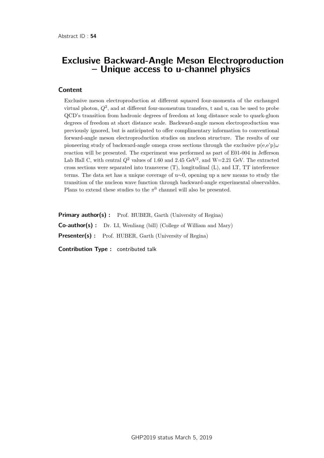## Exclusive Backward-Angle Meson Electroproduction – Unique access to u-channel physics

#### **Content**

Exclusive meson electroproduction at different squared four-momenta of the exchanged virtual photon,  $Q^2$ , and at different four-momentum transfers, t and u, can be used to probe QCD's transition from hadronic degrees of freedom at long distance scale to quark-gluon degrees of freedom at short distance scale. Backward-angle meson electroproduction was previously ignored, but is anticipated to offer complimentary information to conventional forward-angle meson electroproduction studies on nucleon structure. The results of our pioneering study of backward-angle omega cross sections through the exclusive p(e,e'p)*ω* reaction will be presented. The experiment was performed as part of E01-004 in Jefferson Lab Hall C, with central  $Q^2$  values of 1.60 and 2.45 GeV<sup>2</sup>, and W=2.21 GeV. The extracted cross sections were separated into transverse (T), longitudinal (L), and LT, TT interference terms. The data set has a unique coverage of u∼0, opening up a new means to study the transition of the nucleon wave function through backward-angle experimental observables. Plans to extend these studies to the  $\pi^0$  channel will also be presented.

Primary author(s) : Prof. HUBER, Garth (University of Regina) Co-author(s) : Dr. LI, Wenliang (bill) (College of William and Mary) Presenter(s) : Prof. HUBER, Garth (University of Regina) Contribution Type : contributed talk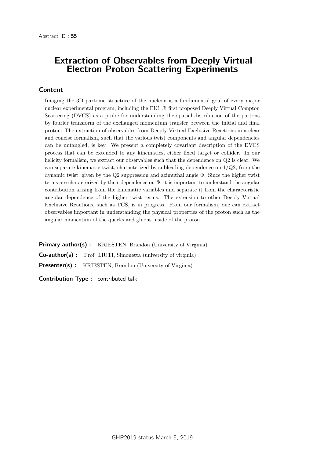## Extraction of Observables from Deeply Virtual Electron Proton Scattering Experiments

### Content

Imaging the 3D partonic structure of the nucleon is a fundamental goal of every major nuclear experimental program, including the EIC. Ji first proposed Deeply Virtual Compton Scattering (DVCS) as a probe for understanding the spatial distribution of the partons by fourier transform of the exchanged momentum transfer between the initial and final proton. The extraction of observables from Deeply Virtual Exclusive Reactions in a clear and concise formalism, such that the various twist components and angular dependencies can be untangled, is key. We present a completely covariant description of the DVCS process that can be extended to any kinematics, either fixed target or collider. In our helicity formalism, we extract our observables such that the dependence on Q2 is clear. We can separate kinematic twist, characterized by subleading dependence on  $1/Q2$ , from the dynamic twist, given by the Q2 suppression and azimuthal angle Φ. Since the higher twist terms are characterized by their dependence on  $\Phi$ , it is important to understand the angular contribution arising from the kinematic variables and separate it from the characteristic angular dependence of the higher twist terms. The extension to other Deeply Virtual Exclusive Reactions, such as TCS, is in progress. From our formalism, one can extract observables important in understanding the physical properties of the proton such as the angular momentum of the quarks and gluons inside of the proton.

**Primary author(s):** KRIESTEN, Brandon (University of Virginia) Co-author(s) : Prof. LIUTI, Simonetta (university of virginia) **Presenter(s)** : KRIESTEN, Brandon (University of Virginia)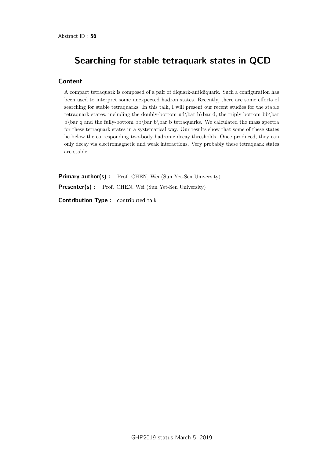# Searching for stable tetraquark states in QCD

### **Content**

A compact tetraquark is composed of a pair of diquark-antidiquark. Such a configuration has been used to interpret some unexpected hadron states. Recently, there are some efforts of searching for stable tetraquarks. In this talk, I will present our recent studies for the stable tetraquark states, including the doubly-bottom ud\bar b\bar d, the triply bottom bb\bar b\bar q and the fully-bottom bb\bar b tetraquarks. We calculated the mass spectra for these tetraquark states in a systematical way. Our results show that some of these states lie below the corresponding two-body hadronic decay thresholds. Once produced, they can only decay via electromagnetic and weak interactions. Very probably these tetraquark states are stable.

Primary author(s) : Prof. CHEN, Wei (Sun Yet-Sen University) Presenter(s) : Prof. CHEN, Wei (Sun Yet-Sen University) Contribution Type : contributed talk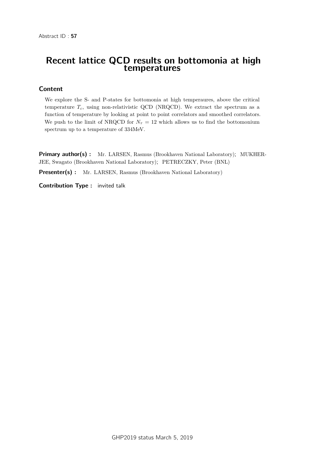## Recent lattice QCD results on bottomonia at high temperatures

### Content

We explore the S- and P-states for bottomonia at high temperaures, above the critical temperature  $T_c$ , using non-relativistic QCD (NRQCD). We extract the spectrum as a function of temperature by looking at point to point correlators and smoothed correlators. We push to the limit of NRQCD for  $N<sub>\tau</sub> = 12$  which allows us to find the bottomonium spectrum up to a temperature of 334MeV.

**Primary author(s):** Mr. LARSEN, Rasmus (Brookhaven National Laboratory); MUKHER-JEE, Swagato (Brookhaven National Laboratory); PETRECZKY, Peter (BNL)

**Presenter(s) :** Mr. LARSEN, Rasmus (Brookhaven National Laboratory)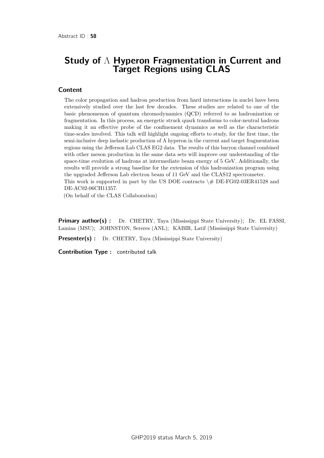## Study of  $Λ$  Hyperon Fragmentation in Current and **Target Regions using CLAS**

#### **Content**

The color propagation and hadron production from hard interactions in nuclei have been extensively studied over the last few decades. These studies are related to one of the basic phenomenon of quantum chromodynamics (QCD) referred to as hadronization or fragmentation. In this process, an energetic struck quark transforms to color-neutral hadrons making it an effective probe of the confinement dynamics as well as the characteristic time-scales involved. This talk will highlight ongoing efforts to study, for the first time, the semi-inclusive deep inelastic production of  $\Lambda$  hyperon in the current and target fragmentation regions using the Jefferson Lab CLAS EG2 data. The results of this baryon channel combined with other meson production in the same data sets will improve our understanding of the space-time evolution of hadrons at intermediate beam energy of 5 GeV. Additionally, the results will provide a strong baseline for the extension of this hadronization program using the upgraded Jefferson Lab electron beam of 11 GeV and the CLAS12 spectrometer. This work is supported in part by the US DOE contracts  $\#$  DE-FG02-03ER41528 and DE-AC02-06CH11357.

(On behalf of the CLAS Collaboration)

**Primary author(s) :** Dr. CHETRY, Taya (Mississippi State University); Dr. EL FASSI, Lamiaa (MSU); JOHNSTON, Sereres (ANL); KABIR, Latif (Mississippi State University)

**Presenter(s)** : Dr. CHETRY, Taya (Mississippi State University)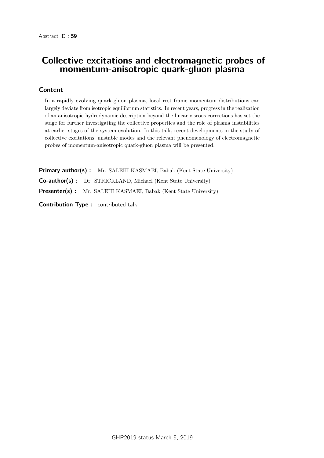# Collective excitations and electromagnetic probes of momentum-anisotropic quark-gluon plasma

## Content

In a rapidly evolving quark-gluon plasma, local rest frame momentum distributions can largely deviate from isotropic equilibrium statistics. In recent years, progress in the realization of an anisotropic hydrodynamic description beyond the linear viscous corrections has set the stage for further investigating the collective properties and the role of plasma instabilities at earlier stages of the system evolution. In this talk, recent developments in the study of collective excitations, unstable modes and the relevant phenomenology of electromagnetic probes of momentum-anisotropic quark-gluon plasma will be presented.

**Primary author(s):** Mr. SALEHI KASMAEI, Babak (Kent State University) Co-author(s) : Dr. STRICKLAND, Michael (Kent State University) Presenter(s) : Mr. SALEHI KASMAEI, Babak (Kent State University)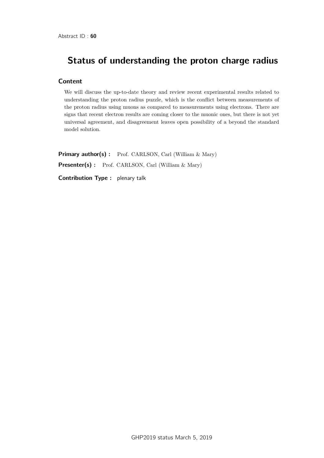# Status of understanding the proton charge radius

### Content

We will discuss the up-to-date theory and review recent experimental results related to understanding the proton radius puzzle, which is the conflict between measurements of the proton radius using muons as compared to measurements using electrons. There are signs that recent electron results are coming closer to the muonic ones, but there is not yet universal agreement, and disagreement leaves open possibility of a beyond the standard model solution.

Primary author(s) : Prof. CARLSON, Carl (William & Mary) Presenter(s) : Prof. CARLSON, Carl (William & Mary)

Contribution Type : plenary talk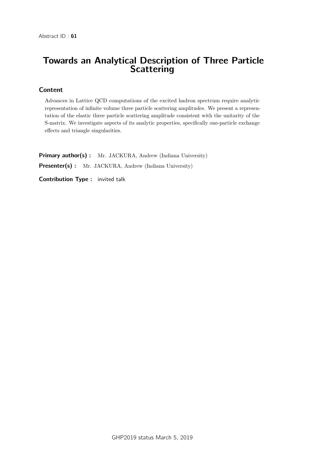# Towards an Analytical Description of Three Particle **Scattering**

## Content

Advances in Lattice QCD computations of the excited hadron spectrum require analytic representation of infinite volume three particle scattering amplitudes. We present a representation of the elastic three particle scattering amplitude consistent with the unitarity of the S-matrix. We investigate aspects of its analytic properties, specifically one-particle exchange effects and triangle singularities.

Primary author(s) : Mr. JACKURA, Andrew (Indiana University) Presenter(s) : Mr. JACKURA, Andrew (Indiana University) Contribution Type : invited talk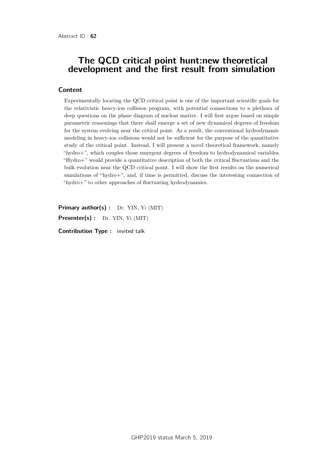## The QCD critical point hunt:new theoretical development and the first result from simulation

### **Content**

Experimentally locating the QCD critical point is one of the important scientific goals for the relativistic heavy-ion collision program, with potential connections to a plethora of deep questions on the phase diagram of nuclear matter. I will first argue based on simple parametric reasonings that there shall emerge a set of new dynamical degrees of freedom for the system evolving near the critical point. As a result, the conventional hydrodynamic modeling in heavy-ion collisions would not be sufficient for the purpose of the quantitative study of the critical point. Instead, I will present a novel theoretical framework, namely "hydro+", which couples those emergent degrees of freedom to hydrodynamical variables. "Hydro+" would provide a quantitative description of both the critical fluctuations and the bulk evolution near the QCD critical point. I will show the first results on the numerical simulations of "hydro+", and, if time is permitted, discuss the interesting connection of "hydro+" to other approaches of fluctuating hydrodynamics.

Primary author(s) : Dr. YIN, Yi (MIT)

Presenter(s) : Dr. YIN, Yi (MIT)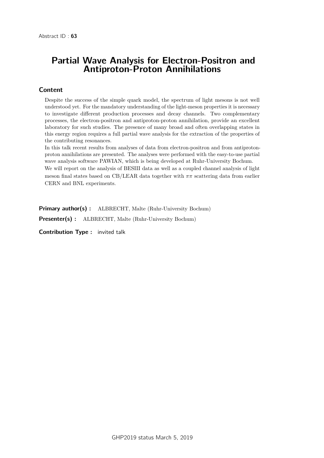## Partial Wave Analysis for Electron-Positron and Antiproton-Proton Annihilations

### Content

Despite the success of the simple quark model, the spectrum of light mesons is not well understood yet. For the mandatory understanding of the light-meson properties it is necessary to investigate different production processes and decay channels. Two complementary processes, the electron-positron and antiproton-proton annihilation, provide an excellent laboratory for such studies. The presence of many broad and often overlapping states in this energy region requires a full partial wave analysis for the extraction of the properties of the contributing resonances.

In this talk recent results from analyses of data from electron-positron and from antiprotonproton annihilations are presented. The analyses were performed with the easy-to-use partial wave analysis software PAWIAN, which is being developed at Ruhr-University Bochum.

We will report on the analysis of BESIII data as well as a coupled channel analysis of light meson final states based on CB/LEAR data together with *ππ* scattering data from earlier CERN and BNL experiments.

Primary author(s) : ALBRECHT, Malte (Ruhr-University Bochum)

Presenter(s) : ALBRECHT, Malte (Ruhr-University Bochum)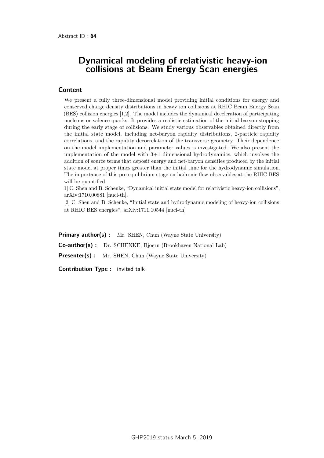## Dynamical modeling of relativistic heavy-ion collisions at Beam Energy Scan energies

#### **Content**

We present a fully three-dimensional model providing initial conditions for energy and conserved charge density distributions in heavy ion collisions at RHIC Beam Energy Scan (BES) collision energies [1,2]. The model includes the dynamical deceleration of participating nucleons or valence quarks. It provides a realistic estimation of the initial baryon stopping during the early stage of collisions. We study various observables obtained directly from the initial state model, including net-baryon rapidity distributions, 2-particle rapidity correlations, and the rapidity decorrelation of the transverse geometry. Their dependence on the model implementation and parameter values is investigated. We also present the implementation of the model with 3+1 dimensional hydrodynamics, which involves the addition of source terms that deposit energy and net-baryon densities produced by the initial state model at proper times greater than the initial time for the hydrodynamic simulation. The importance of this pre-equilibrium stage on hadronic flow observables at the RHIC BES will be quantified.

1] C. Shen and B. Schenke, "Dynamical initial state model for relativistic heavy-ion collisions", arXiv:1710.00881 [nucl-th].

[2] C. Shen and B. Schenke, "Initial state and hydrodynamic modeling of heavy-ion collisions at RHIC BES energies", arXiv:1711.10544 [nucl-th]

Primary author(s) : Mr. SHEN, Chun (Wayne State University) Co-author(s) : Dr. SCHENKE, Bjoern (Brookhaven National Lab) **Presenter(s)** : Mr. SHEN, Chun (Wayne State University)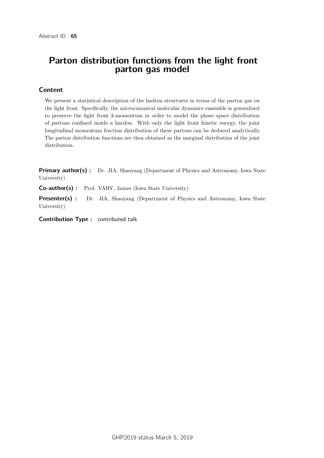# Parton distribution functions from the light front parton gas model

## Content

We present a statistical description of the hadron structures in terms of the parton gas on the light front. Specifically, the microcanonical molecular dynamics ensemble is generalized to preserve the light front 3-momentum in order to model the phase space distribution of partons confined inside a hardon. With only the light front kinetic energy, the joint longitudinal momentum fraction distribution of these partons can be deduced analytically. The parton distribution functions are then obtained as the marginal distribution of the joint distribution.

**Primary author(s)**: Dr. JIA, Shaoyang (Department of Physics and Astronomy, Iowa State University)

Co-author(s) : Prof. VARY, James (Iowa State University)

Presenter(s) : Dr. JIA, Shaoyang (Department of Physics and Astronomy, Iowa State University)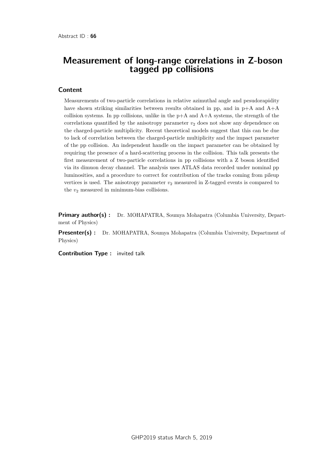## Measurement of long-range correlations in Z-boson tagged pp collisions

#### **Content**

Measurements of two-particle correlations in relative azimuthal angle and pesudorapidity have shown striking similarities between results obtained in pp, and in  $p+A$  and  $A+A$ collision systems. In pp collisions, unlike in the  $p+A$  and  $A+A$  systems, the strength of the correlations quantified by the anisotropy parameter  $v<sub>2</sub>$  does not show any dependence on the charged-particle multiplicity. Recent theoretical models suggest that this can be due to lack of correlation between the charged-particle multiplicity and the impact parameter of the pp collision. An independent handle on the impact parameter can be obtained by requiring the presence of a hard-scattering process in the collision. This talk presents the first measurement of two-particle correlations in pp collisions with a Z boson identified via its dimuon decay channel. The analysis uses ATLAS data recorded under nominal pp luminosities, and a procedure to correct for contribution of the tracks coming from pileup vertices is used. The anisotropy parameter  $v_2$  measured in  $Z$ -tagged events is compared to the  $v_2$  measured in minimum-bias collisions.

Primary author(s) : Dr. MOHAPATRA, Soumya Mohapatra (Columbia University, Department of Physics)

**Presenter(s) :** Dr. MOHAPATRA, Soumya Mohapatra (Columbia University, Department of Physics)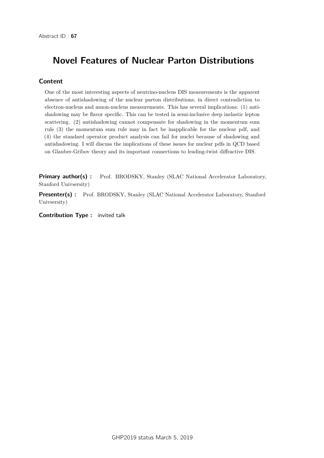# Novel Features of Nuclear Parton Distributions

## Content

One of the most interesting aspects of neutrino-nucleus DIS measurements is the apparent absence of antishadowing of the nuclear parton distributions, in direct contradiction to electron-nucleus and muon-nucleus measurements. This has several implications: (1) antishadowing may be flavor specific. This can be tested in semi-inclusive deep inelastic lepton scattering. (2) antishadowing cannot compensate for shadowing in the momentum sum rule (3) the momentum sum rule may in fact be inapplicable for the nuclear pdf, and (4) the standard operator product analysis can fail for nuclei because of shadowing and antishadowing. I will discuss the implications of these issues for nuclear pdfs in QCD based on Glauber-Gribov theory and its important connections to leading-twist diffractive DIS.

Primary author(s) : Prof. BRODSKY, Stanley (SLAC National Accelerator Laboratory, Stanford Univsersity)

**Presenter(s) :** Prof. BRODSKY, Stanley (SLAC National Accelerator Laboratory, Stanford Univsersity)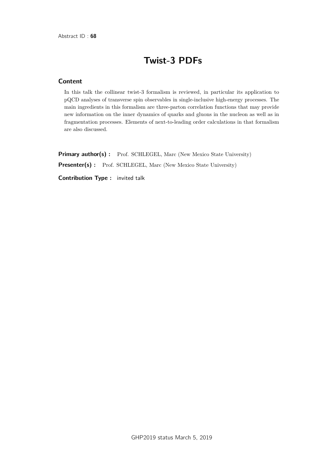# Twist-3 PDFs

### **Content**

In this talk the collinear twist-3 formalism is reviewed, in particular its application to pQCD analyses of transverse spin observables in single-inclusive high-energy processes. The main ingredients in this formalism are three-parton correlation functions that may provide new information on the inner dynamics of quarks and gluons in the nucleon as well as in fragmentation processes. Elements of next-to-leading order calculations in that formalism are also discussed.

Primary author(s) : Prof. SCHLEGEL, Marc (New Mexico State University) Presenter(s) : Prof. SCHLEGEL, Marc (New Mexico State University)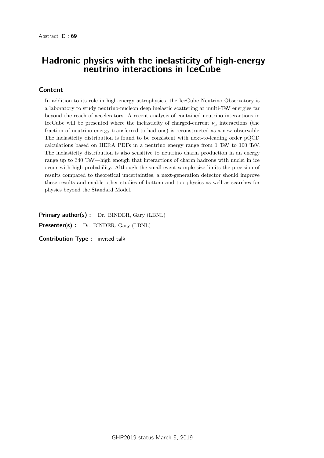# Hadronic physics with the inelasticity of high-energy neutrino interactions in IceCube

## Content

In addition to its role in high-energy astrophysics, the IceCube Neutrino Observatory is a laboratory to study neutrino-nucleon deep inelastic scattering at multi-TeV energies far beyond the reach of accelerators. A recent analysis of contained neutrino interactions in IceCube will be presented where the inelasticity of charged-current  $\nu_{\mu}$  interactions (the fraction of neutrino energy transferred to hadrons) is reconstructed as a new observable. The inelasticity distribution is found to be consistent with next-to-leading order pQCD calculations based on HERA PDFs in a neutrino energy range from 1 TeV to 100 TeV. The inelasticity distribution is also sensitive to neutrino charm production in an energy range up to 340 TeV—high enough that interactions of charm hadrons with nuclei in ice occur with high probability. Although the small event sample size limits the precision of results compared to theoretical uncertainties, a next-generation detector should improve these results and enable other studies of bottom and top physics as well as searches for physics beyond the Standard Model.

Primary author(s) : Dr. BINDER, Gary (LBNL)

Presenter(s) : Dr. BINDER, Gary (LBNL)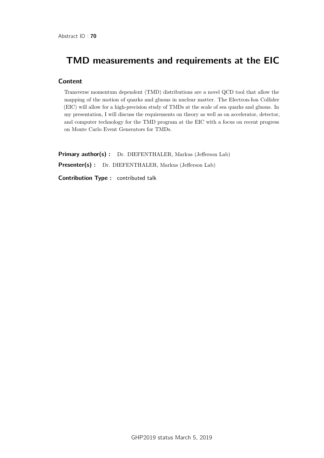# TMD measurements and requirements at the EIC

### **Content**

Transverse momentum dependent (TMD) distributions are a novel QCD tool that allow the mapping of the motion of quarks and gluons in nuclear matter. The Electron-Ion Collider (EIC) will allow for a high-precision study of TMDs at the scale of sea quarks and gluons. In my presentation, I will discuss the requirements on theory as well as on accelerator, detector, and computer technology for the TMD program at the EIC with a focus on recent progress on Monte Carlo Event Generators for TMDs.

Primary author(s) : Dr. DIEFENTHALER, Markus (Jefferson Lab) Presenter(s) : Dr. DIEFENTHALER, Markus (Jefferson Lab)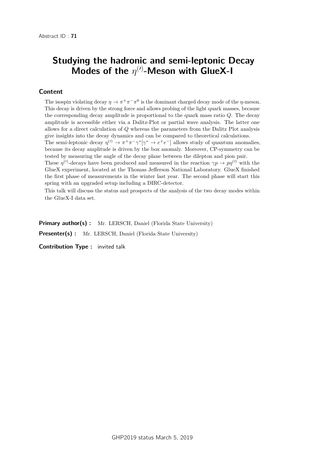# Studying the hadronic and semi-leptonic Decay Modes of the  $\eta^{(\prime)}$ -Meson with GlueX-I

### Content

The isospin violating decay  $\eta \to \pi^+\pi^-\pi^0$  is the dominant charged decay mode of the *η*-meson. This decay is driven by the strong force and allows probing of the light quark masses, because the corresponding decay amplitude is proportional to the quark mass ratio *Q*. The decay amplitude is accessible either via a Dalitz-Plot or partial wave analysis. The latter one allows for a direct calculation of *Q* whereas the parameters from the Dalitz Plot analysis give insights into the decay dynamics and can be compared to theoretical calculations.

The semi-leptonic decay  $\eta^{(l)} \to \pi^+\pi^-\gamma^*[\gamma^* \to e^+e^-]$  allows study of quantum anomalies, because its decay amplitude is driven by the box anomaly. Moreover, CP-symmetry can be tested by measuring the angle of the decay plane between the dilepton and pion pair.

These  $\eta^{(1)}$ -decays have been produced and measured in the reaction  $\gamma p \to p \eta^{(1)}$  with the GlueX experiment, located at the Thomas Jefferson National Laboratory. GlueX finished the first phase of measurements in the winter last year. The second phase will start this spring with an upgraded setup including a DIRC-detector.

This talk will discuss the status and prospects of the analysis of the two decay modes within the GlueX-I data set.

Primary author(s) : Mr. LERSCH, Daniel (Florida State University) Presenter(s) : Mr. LERSCH, Daniel (Florida State University)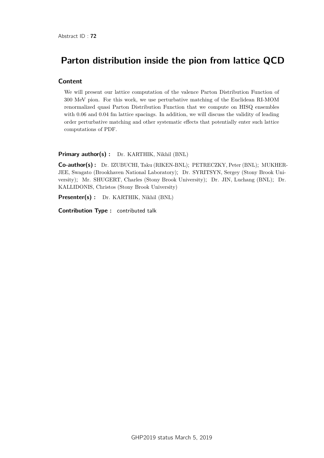# Parton distribution inside the pion from lattice QCD

### **Content**

We will present our lattice computation of the valence Parton Distribution Function of 300 MeV pion. For this work, we use perturbative matching of the Euclidean RI-MOM renormalized quasi Parton Distribution Function that we compute on HISQ ensembles with 0.06 and 0.04 fm lattice spacings. In addition, we will discuss the validity of leading order perturbative matching and other systematic effects that potentially enter such lattice computations of PDF.

#### Primary author(s) : Dr. KARTHIK, Nikhil (BNL)

Co-author(s) : Dr. IZUBUCHI, Taku (RIKEN-BNL); PETRECZKY, Peter (BNL); MUKHER-JEE, Swagato (Brookhaven National Laboratory); Dr. SYRITSYN, Sergey (Stony Brook University); Mr. SHUGERT, Charles (Stony Brook University); Dr. JIN, Luchang (BNL); Dr. KALLIDONIS, Christos (Stony Brook University)

Presenter(s) : Dr. KARTHIK, Nikhil (BNL)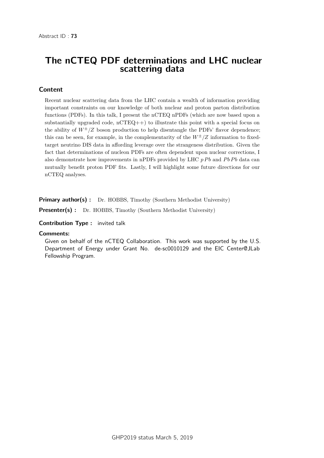## The nCTEQ PDF determinations and LHC nuclear scattering data

## Content

Recent nuclear scattering data from the LHC contain a wealth of information providing important constraints on our knowledge of both nuclear and proton parton distribution functions (PDFs). In this talk, I present the nCTEQ nPDFs (which are now based upon a substantially upgraded code,  $nCTEQ++$ ) to illustrate this point with a special focus on the ability of  $W^{\pm}/Z$  boson production to help disentangle the PDFs' flavor dependence; this can be seen, for example, in the complementarity of the  $W^{\pm}/Z$  information to fixedtarget neutrino DIS data in affording leverage over the strangeness distribution. Given the fact that determinations of nucleon PDFs are often dependent upon nuclear corrections, I also demonstrate how improvements in nPDFs provided by LHC  $p Pb$  and  $P b Pb$  data can mutually benefit proton PDF fits. Lastly, I will highlight some future directions for our nCTEQ analyses.

**Primary author(s):** Dr. HOBBS, Timothy (Southern Methodist University)

Presenter(s) : Dr. HOBBS, Timothy (Southern Methodist University)

Contribution Type : invited talk

#### **Comments:**

Given on behalf of the nCTEQ Collaboration. This work was supported by the U.S. Department of Energy under Grant No. de-sc0010129 and the EIC Center@JLab Fellowship Program.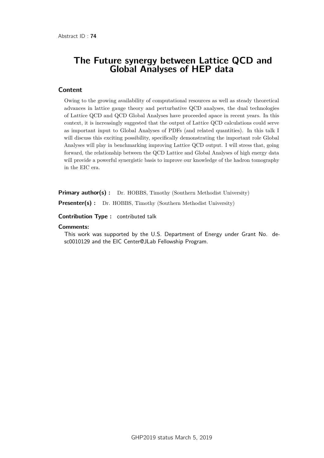## The Future synergy between Lattice QCD and Global Analyses of HEP data

### **Content**

Owing to the growing availability of computational resources as well as steady theoretical advances in lattice gauge theory and perturbative QCD analyses, the dual technologies of Lattice QCD and QCD Global Analyses have proceeded apace in recent years. In this context, it is increasingly suggested that the output of Lattice QCD calculations could serve as important input to Global Analyses of PDFs (and related quantities). In this talk I will discuss this exciting possibility, specifically demonstrating the important role Global Analyses will play in benchmarking improving Lattice QCD output. I will stress that, going forward, the relationship between the QCD Lattice and Global Analyses of high energy data will provide a powerful synergistic basis to improve our knowledge of the hadron tomography in the EIC era.

Primary author(s) : Dr. HOBBS, Timothy (Southern Methodist University)

Presenter(s) : Dr. HOBBS, Timothy (Southern Methodist University)

Contribution Type : contributed talk

#### **Comments:**

This work was supported by the U.S. Department of Energy under Grant No. desc0010129 and the EIC Center@JLab Fellowship Program.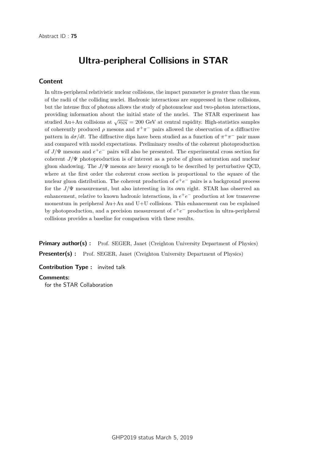## Ultra-peripheral Collisions in STAR

#### Content

In ultra-peripheral relativistic nuclear collisions, the impact parameter is greater than the sum of the radii of the colliding nuclei. Hadronic interactions are suppressed in these collisions, but the intense flux of photons allows the study of photonuclear and two-photon interactions, providing information about the initial state of the nuclei. The STAR experiment has studied Au+Au collisions at  $\sqrt{s_{NN}}$  = 200 GeV at central rapidity. High-statistics samples of coherently produced  $\rho$  mesons and  $\pi^+\pi^-$  pairs allowed the observation of a diffractive pattern in  $d\sigma/dt$ . The diffractive dips have been studied as a function of  $\pi^+\pi^-$  pair mass and compared with model expectations. Preliminary results of the coherent photoproduction of  $J/\Psi$  mesons and  $e^+e^-$  pairs will also be presented. The experimental cross section for coherent *J/*Ψ photoproduction is of interest as a probe of gluon saturation and nuclear gluon shadowing. The  $J/\Psi$  mesons are heavy enough to be described by perturbative QCD, where at the first order the coherent cross section is proportional to the square of the nuclear gluon distribution. The coherent production of  $e^+e^-$  pairs is a background process for the *J/*Ψ measurement, but also interesting in its own right. STAR has observed an enhancement, relative to known hadronic interactions, in  $e^+e^-$  production at low transverse momentum in peripheral Au+Au and U+U collisions. This enhancement can be explained by photoproduction, and a precision measurement of  $e^+e^-$  production in ultra-peripheral collisions provides a baseline for comparison with these results.

Primary author(s) : Prof. SEGER, Janet (Creighton University Department of Physics) **Presenter(s) :** Prof. SEGER, Janet (Creighton University Department of Physics)

Contribution Type : invited talk

#### **Comments:**

for the STAR Collaboration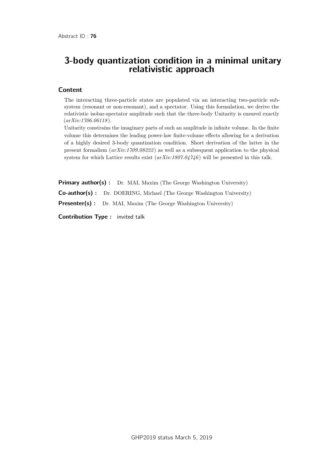### 3-body quantization condition in a minimal unitary relativistic approach

#### Content

The interacting three-particle states are populated via an interacting two-particle subsystem (resonant or non-resonant), and a spectator. Using this formulation, we derive the relativistic isobar-spectator amplitude such that the three-body Unitarity is ensured exactly (*arXiv:1706.06118* ).

Unitarity constrains the imaginary parts of such an amplitude in infinite volume. In the finite volume this determines the leading power-law finite-volume effects allowing for a derivation of a highly desired 3-body quantization condition. Short derivation of the latter in the present formalism (*arXiv:1709.08222* ) as well as a subsequent application to the physical system for which Lattice results exist (*arXiv:1807.04746* ) will be presented in this talk.

**Primary author(s)**: Dr. MAI, Maxim (The George Washington University)

Co-author(s) : Dr. DOERING, Michael (The George Washington University)

**Presenter(s) :** Dr. MAI, Maxim (The George Washington University)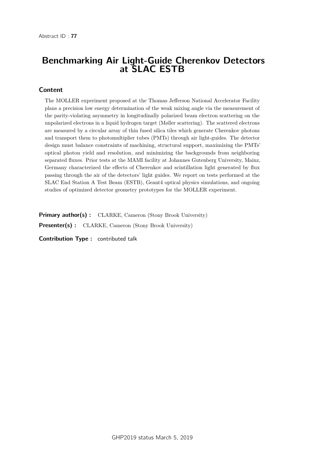# Benchmarking Air Light-Guide Cherenkov Detectors at SLAC ESTB

### Content

The MOLLER experiment proposed at the Thomas Jefferson National Accelerator Facility plans a precision low energy determination of the weak mixing angle via the measurement of the parity-violating asymmetry in longitudinally polarized beam electron scattering on the unpolarized electrons in a liquid hydrogen target (Møller scattering). The scattered electrons are measured by a circular array of thin fused silica tiles which generate Cherenkov photons and transport them to photomultiplier tubes (PMTs) through air light-guides. The detector design must balance constraints of machining, structural support, maximizing the PMTs' optical photon yield and resolution, and minimizing the backgrounds from neighboring separated fluxes. Prior tests at the MAMI facility at Johannes Gutenberg University, Mainz, Germany characterized the effects of Cherenkov and scintillation light generated by flux passing through the air of the detectors' light guides. We report on tests performed at the SLAC End Station A Test Beam (ESTB), Geant4 optical physics simulations, and ongoing studies of optimized detector geometry prototypes for the MOLLER experiment.

Primary author(s): CLARKE, Cameron (Stony Brook University) Presenter(s) : CLARKE, Cameron (Stony Brook University)

Contribution Type : contributed talk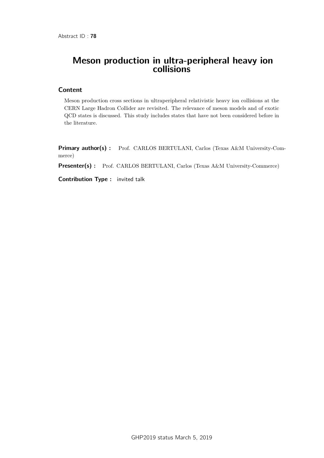## Meson production in ultra-peripheral heavy ion collisions

### **Content**

Meson production cross sections in ultraperipheral relativistic heavy ion collisions at the CERN Large Hadron Collider are revisited. The relevance of meson models and of exotic QCD states is discussed. This study includes states that have not been considered before in the literature.

Primary author(s) : Prof. CARLOS BERTULANI, Carlos (Texas A&M University-Commerce)

Presenter(s) : Prof. CARLOS BERTULANI, Carlos (Texas A&M University-Commerce)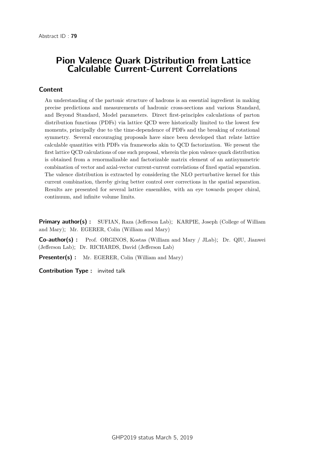## Pion Valence Quark Distribution from Lattice Calculable Current-Current Correlations

### Content

An understanding of the partonic structure of hadrons is an essential ingredient in making precise predictions and measurements of hadronic cross-sections and various Standard, and Beyond Standard, Model parameters. Direct first-principles calculations of parton distribution functions (PDFs) via lattice QCD were historically limited to the lowest few moments, principally due to the time-dependence of PDFs and the breaking of rotational symmetry. Several encouraging proposals have since been developed that relate lattice calculable quantities with PDFs via frameworks akin to QCD factorization. We present the first lattice QCD calculations of one such proposal, wherein the pion valence quark distribution is obtained from a renormalizable and factorizable matrix element of an antisymmetric combination of vector and axial-vector current-current correlations of fixed spatial separation. The valence distribution is extracted by considering the NLO perturbative kernel for this current combination, thereby giving better control over corrections in the spatial separation. Results are presented for several lattice ensembles, with an eye towards proper chiral, continuum, and infinite volume limits.

**Primary author(s)**: SUFIAN, Raza (Jefferson Lab); KARPIE, Joseph (College of William and Mary); Mr. EGERER, Colin (William and Mary)

Co-author(s) : Prof. ORGINOS, Kostas (William and Mary / JLab); Dr. QIU, Jianwei (Jefferson Lab); Dr. RICHARDS, David (Jefferson Lab)

**Presenter(s)** : Mr. EGERER, Colin (William and Mary)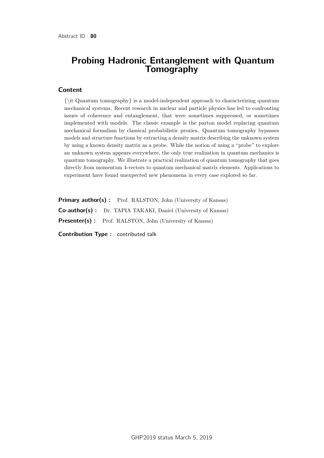### Probing Hadronic Entanglement with Quantum **Tomography**

#### **Content**

{\it Quantum tomography} is a model-independent approach to characterizing quantum mechanical systems. Recent research in nuclear and particle physics has led to confronting issues of coherence and entanglement, that were sometimes suppressed, or sometimes implemented with models. The classic example is the parton model replacing quantum mechanical formalism by classical probabilistic proxies. Quantum tomography bypasses models and structure functions by extracting a density matrix describing the unknown system by using a known density matrix as a probe. While the notion of using a "probe" to explore an unknown system appears everywhere, the only true realization in quantum mechanics is quantum tomography. We illustrate a practical realization of quantum tomography that goes directly from momentum 4-vectors to quantum mechanical matrix elements. Applications to experiment have found unexpected new phenomena in every case explored so far.

Primary author(s): Prof. RALSTON, John (University of Kansas) Co-author(s) : Dr. TAPIA TAKAKI, Daniel (University of Kansas) Presenter(s) : Prof. RALSTON, John (University of Kansas)

Contribution Type : contributed talk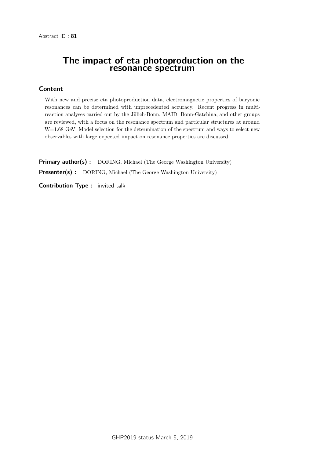### The impact of eta photoproduction on the resonance spectrum

### **Content**

With new and precise eta photoproduction data, electromagnetic properties of baryonic resonances can be determined with unprecedented accuracy. Recent progress in multireaction analyses carried out by the Jülich-Bonn, MAID, Bonn-Gatchina, and other groups are reviewed, with a focus on the resonance spectrum and particular structures at around W=1.68 GeV. Model selection for the determination of the spectrum and ways to select new observables with large expected impact on resonance properties are discussed.

**Primary author(s)**: DORING, Michael (The George Washington University)

**Presenter(s)** : DORING, Michael (The George Washington University)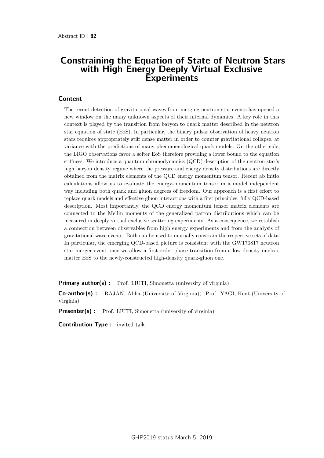### Constraining the Equation of State of Neutron Stars with High Energy Deeply Virtual Exclusive **Experiments**

#### **Content**

The recent detection of gravitational waves from merging neutron star events has opened a new window on the many unknown aspects of their internal dynamics. A key role in this context is played by the transition from baryon to quark matter described in the neutron star equation of state (EoS). In particular, the binary pulsar observation of heavy neutron stars requires appropriately stiff dense matter in order to counter gravitational collapse, at variance with the predictions of many phenomenological quark models. On the other side, the LIGO observations favor a softer EoS therefore providing a lower bound to the equation stiffness. We introduce a quantum chromodynamics (QCD) description of the neutron star's high baryon density regime where the pressure and energy density distributions are directly obtained from the matrix elements of the QCD energy momentum tensor. Recent ab initio calculations allow us to evaluate the energy-momentum tensor in a model independent way including both quark and gluon degrees of freedom. Our approach is a first effort to replace quark models and effective gluon interactions with a first principles, fully QCD-based description. Most importantly, the QCD energy momentum tensor matrix elements are connected to the Mellin moments of the generalized parton distributions which can be measured in deeply virtual exclusive scattering experiments. As a consequence, we establish a connection between observables from high energy experiments and from the analysis of gravitational wave events. Both can be used to mutually constrain the respective sets of data. In particular, the emerging QCD-based picture is consistent with the GW170817 neutron star merger event once we allow a first-order phase transition from a low-density nuclear matter EoS to the newly-constructed high-density quark-gluon one.

**Primary author(s):** Prof. LIUTI, Simonetta (university of virginia)

Co-author(s) : RAJAN, Abha (University of Virginia); Prof. YAGI, Kent (University of Virginia)

**Presenter(s)**: Prof. LIUTI, Simonetta (university of virginia)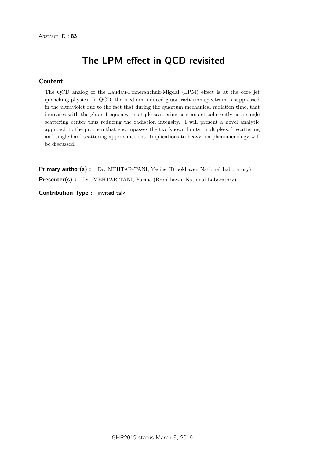# The LPM effect in QCD revisited

### **Content**

The QCD analog of the Laudau-Pomeranchuk-Migdal (LPM) effect is at the core jet quenching physics. In QCD, the medium-induced gluon radiation spectrum is suppressed in the ultraviolet due to the fact that during the quantum mechanical radiation time, that increases with the gluon frequency, multiple scattering centers act coherently as a single scattering center thus reducing the radiation intensity. I will present a novel analytic approach to the problem that encompasses the two known limits: multiple-soft scattering and single-hard scattering approximations. Implications to heavy ion phenomenology will be discussed.

Primary author(s) : Dr. MEHTAR-TANI, Yacine (Brookhaven National Laboratory) Presenter(s) : Dr. MEHTAR-TANI, Yacine (Brookhaven National Laboratory)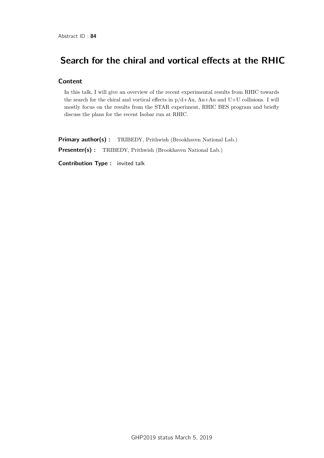# Search for the chiral and vortical effects at the RHIC

### **Content**

In this talk, I will give an overview of the recent experimental results from RHIC towards the search for the chiral and vortical effects in p/d+Au, Au+Au and U+U collisions. I will mostly focus on the results from the STAR experiment, RHIC BES program and briefly discuss the plans for the recent Isobar run at RHIC.

Primary author(s): TRIBEDY, Prithwish (Brookhaven National Lab.) Presenter(s) : TRIBEDY, Prithwish (Brookhaven National Lab.)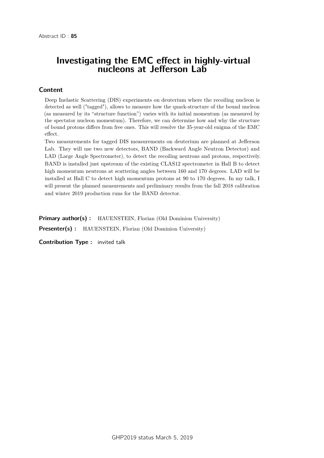## Investigating the EMC effect in highly-virtual nucleons at Jefferson Lab

### Content

Deep Inelastic Scattering (DIS) experiments on deuterium where the recoiling nucleon is detected as well ("tagged"), allows to measure how the quark-structure of the bound nucleon (as measured by its "structure function") varies with its initial momentum (as measured by the spectator nucleon momentum). Therefore, we can determine how and why the structure of bound protons differs from free ones. This will resolve the 35-year-old enigma of the EMC effect.

Two measurements for tagged DIS measurements on deuterium are planned at Jefferson Lab. They will use two new detectors, BAND (Backward Angle Neutron Detector) and LAD (Large Angle Spectrometer), to detect the recoiling neutrons and protons, respectively. BAND is installed just upstream of the existing CLAS12 spectrometer in Hall B to detect high momentum neutrons at scattering angles between 160 and 170 degrees. LAD will be installed at Hall C to detect high momentum protons at 90 to 170 degrees. In my talk, I will present the planned measurements and preliminary results from the fall 2018 calibration and winter 2019 production runs for the BAND detector.

**Primary author(s):** HAUENSTEIN, Florian (Old Dominion University)

Presenter(s) : HAUENSTEIN, Florian (Old Dominion University)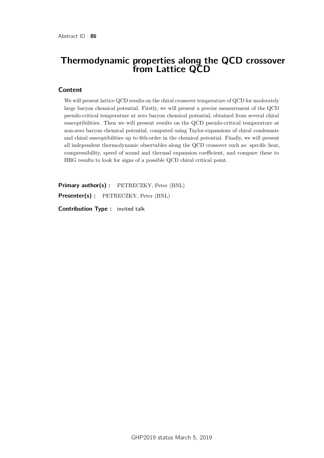### Thermodynamic properties along the QCD crossover from Lattice QCD

#### **Content**

We will present lattice QCD results on the chiral crossover temperature of QCD for moderately large baryon chemical potential. Firstly, we will present a precise measurement of the QCD pseudo-critical temperature at zero baryon chemical potential, obtained from several chiral susceptibilities. Then we will present results on the QCD pseudo-critical temperature at non-zero baryon chemical potential, computed using Taylor-expansions of chiral condensate and chiral susceptibilities up to 6th-order in the chemical potential. Finally, we will present all independent thermodynamic observables along the QCD crossover such as: specific heat, compressibility, speed of sound and thermal expansion coefficient, and compare these to HRG results to look for signs of a possible QCD chiral critical point.

Primary author(s) : PETRECZKY, Peter (BNL) Presenter(s) : PETRECZKY, Peter (BNL)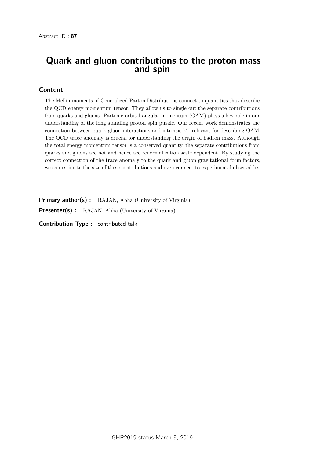### Quark and gluon contributions to the proton mass and spin

#### Content

The Mellin moments of Generalized Parton Distributions connect to quantities that describe the QCD energy momentum tensor. They allow us to single out the separate contributions from quarks and gluons. Partonic orbital angular momentum (OAM) plays a key role in our understanding of the long standing proton spin puzzle. Our recent work demonstrates the connection between quark gluon interactions and intrinsic kT relevant for describing OAM. The QCD trace anomaly is crucial for understanding the origin of hadron mass. Although the total energy momentum tensor is a conserved quantity, the separate contributions from quarks and gluons are not and hence are renormalization scale dependent. By studying the correct connection of the trace anomaly to the quark and gluon gravitational form factors, we can estimate the size of these contributions and even connect to experimental observables.

**Primary author(s):** RAJAN, Abha (University of Virginia)

Presenter(s) : RAJAN, Abha (University of Virginia)

Contribution Type : contributed talk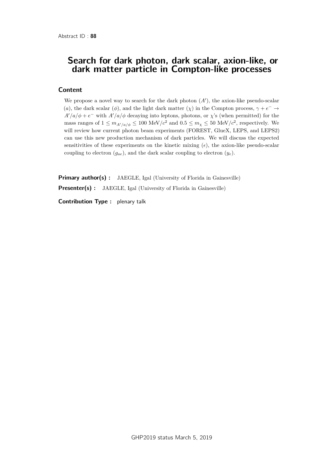### Search for dark photon, dark scalar, axion-like, or dark matter particle in Compton-like processes

### Content

We propose a novel way to search for the dark photon  $(A')$ , the axion-like pseudo-scalar (*a*), the dark scalar ( $\phi$ ), and the light dark matter ( $\chi$ ) in the Compton process,  $\gamma + e^- \rightarrow$  $A'/a/\phi + e^-$  with  $A'/a/\phi$  decaying into leptons, photons, or *χ*'s (when permitted) for the mass ranges of  $1 \leq m_{A'/a/\phi} \leq 100 \text{ MeV}/c^2$  and  $0.5 \leq m_{\chi} \leq 50 \text{ MeV}/c^2$ , respectively. We will review how current photon beam experiments (FOREST, GlueX, LEPS, and LEPS2) can use this new production mechanism of dark particles. We will discuss the expected sensitivities of these experiments on the kinetic mixing  $(\epsilon)$ , the axion-like pseudo-scalar coupling to electron  $(g_{ae})$ , and the dark scalar coupling to electron  $(y_e)$ .

**Primary author(s)** : JAEGLE, Igal (University of Florida in Gainesville) Presenter(s) : JAEGLE, Igal (University of Florida in Gainesville)

Contribution Type : plenary talk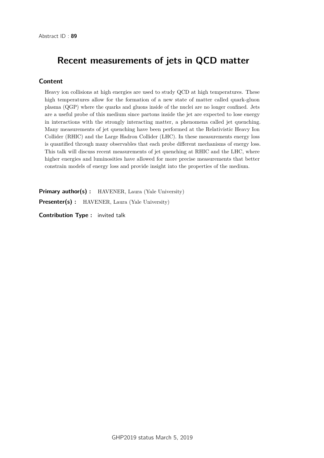# Recent measurements of jets in QCD matter

### Content

Heavy ion collisions at high energies are used to study QCD at high temperatures. These high temperatures allow for the formation of a new state of matter called quark-gluon plasma (QGP) where the quarks and gluons inside of the nuclei are no longer confined. Jets are a useful probe of this medium since partons inside the jet are expected to lose energy in interactions with the strongly interacting matter, a phenomena called jet quenching. Many measurements of jet quenching have been performed at the Relativistic Heavy Ion Collider (RHIC) and the Large Hadron Collider (LHC). In these measurements energy loss is quantified through many observables that each probe different mechanisms of energy loss. This talk will discuss recent measurements of jet quenching at RHIC and the LHC, where higher energies and luminosities have allowed for more precise measurements that better constrain models of energy loss and provide insight into the properties of the medium.

Primary author(s): HAVENER, Laura (Yale University) Presenter(s) : HAVENER, Laura (Yale University)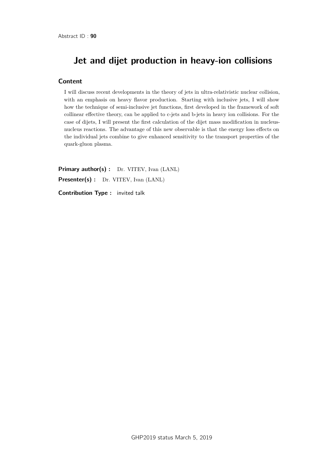# Jet and dijet production in heavy-ion collisions

#### **Content**

I will discuss recent developments in the theory of jets in ultra-relativistic nuclear collision, with an emphasis on heavy flavor production. Starting with inclusive jets, I will show how the technique of semi-inclusive jet functions, first developed in the framework of soft collinear effective theory, can be applied to c-jets and b-jets in heavy ion collisions. For the case of dijets, I will present the first calculation of the dijet mass modification in nucleusnucleus reactions. The advantage of this new observable is that the energy loss effects on the individual jets combine to give enhanced sensitivity to the transport properties of the quark-gluon plasma.

Primary author(s) : Dr. VITEV, Ivan (LANL) Presenter(s) : Dr. VITEV, Ivan (LANL)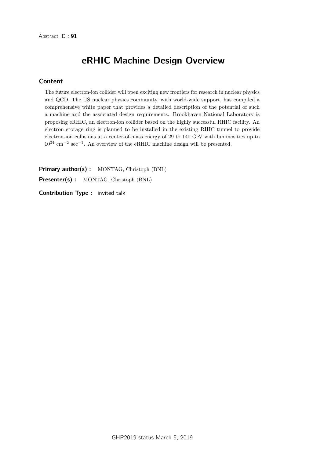# eRHIC Machine Design Overview

### **Content**

The future electron-ion collider will open exciting new frontiers for research in nuclear physics and QCD. The US nuclear physics community, with world-wide support, has compiled a comprehensive white paper that provides a detailed description of the potential of such a machine and the associated design requirements. Brookhaven National Laboratory is proposing eRHIC, an electron-ion collider based on the highly successful RHIC facility. An electron storage ring is planned to be installed in the existing RHIC tunnel to provide electron-ion collisions at a center-of-mass energy of 29 to 140 GeV with luminosities up to 10<sup>34</sup> cm−<sup>2</sup> sec−<sup>1</sup> . An overview of the eRHIC machine design will be presented.

Primary author(s) : MONTAG, Christoph (BNL)

Presenter(s) : MONTAG, Christoph (BNL)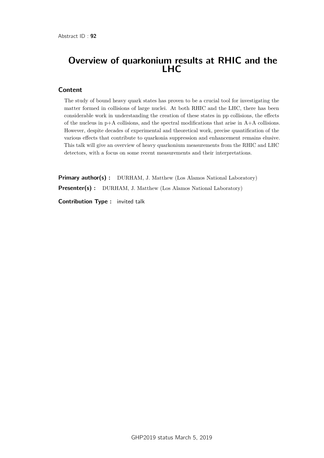## Overview of quarkonium results at RHIC and the LHC

#### Content

The study of bound heavy quark states has proven to be a crucial tool for investigating the matter formed in collisions of large nuclei. At both RHIC and the LHC, there has been considerable work in understanding the creation of these states in pp collisions, the effects of the nucleus in  $p+A$  collisions, and the spectral modifications that arise in  $A+A$  collisions. However, despite decades of experimental and theoretical work, precise quantification of the various effects that contribute to quarkonia suppression and enhancement remains elusive. This talk will give an overview of heavy quarkonium measurements from the RHIC and LHC detectors, with a focus on some recent measurements and their interpretations.

Primary author(s) : DURHAM, J. Matthew (Los Alamos National Laboratory) Presenter(s) : DURHAM, J. Matthew (Los Alamos National Laboratory)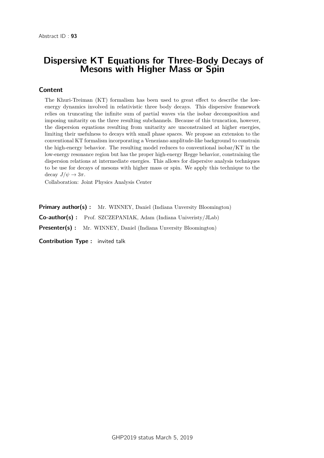### Dispersive KT Equations for Three-Body Decays of Mesons with Higher Mass or Spin

#### Content

The Khuri-Treiman (KT) formalism has been used to great effect to describe the lowenergy dynamics involved in relativistic three body decays. This dispersive framework relies on truncating the infinite sum of partial waves via the isobar decomposition and imposing unitarity on the three resulting subchannels. Because of this truncation, however, the dispersion equations resulting from unitarity are unconstrained at higher energies, limiting their usefulness to decays with small phase spaces. We propose an extension to the conventional KT formalism incorporating a Veneziano amplitude-like background to constrain the high-energy behavior. The resulting model reduces to conventional isobar/KT in the low-energy resonance region but has the proper high-energy Regge behavior, constraining the dispersion relations at intermediate energies. This allows for dispersive analysis techniques to be use for decays of mesons with higher mass or spin. We apply this technique to the decay  $J/\psi \rightarrow 3\pi$ .

Collaboration: Joint Physics Analysis Center

**Primary author(s):** Mr. WINNEY, Daniel (Indiana Unversity Bloomington)

Co-author(s) : Prof. SZCZEPANIAK, Adam (Indiana Univeristy/JLab)

Presenter(s) : Mr. WINNEY, Daniel (Indiana Unversity Bloomington)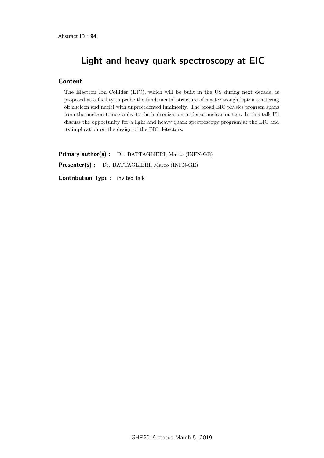# Light and heavy quark spectroscopy at EIC

#### **Content**

The Electron Ion Collider (EIC), which will be built in the US during next decade, is proposed as a facility to probe the fundamental structure of matter trough lepton scattering off nucleon and nuclei with unprecedented luminosity. The broad EIC physics program spans from the nucleon tomography to the hadronization in dense nuclear matter. In this talk I'll discuss the opportunity for a light and heavy quark spectroscopy program at the EIC and its implication on the design of the EIC detectors.

Primary author(s) : Dr. BATTAGLIERI, Marco (INFN-GE) Presenter(s) : Dr. BATTAGLIERI, Marco (INFN-GE)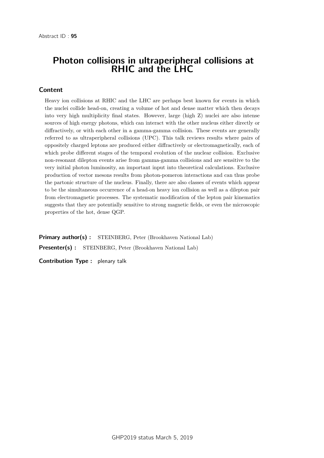### Photon collisions in ultraperipheral collisions at RHIC and the LHC

#### Content

Heavy ion collisions at RHIC and the LHC are perhaps best known for events in which the nuclei collide head-on, creating a volume of hot and dense matter which then decays into very high multiplicity final states. However, large (high Z) nuclei are also intense sources of high energy photons, which can interact with the other nucleus either directly or diffractively, or with each other in a gamma-gamma collision. These events are generally referred to as ultraperipheral collisions (UPC). This talk reviews results where pairs of oppositely charged leptons are produced either diffractively or electromagnetically, each of which probe different stages of the temporal evolution of the nuclear collision. Exclusive non-resonant dilepton events arise from gamma-gamma collisions and are sensitive to the very initial photon luminosity, an important input into theoretical calculations. Exclusive production of vector mesons results from photon-pomeron interactions and can thus probe the partonic structure of the nucleus. Finally, there are also classes of events which appear to be the simultaneous occurrence of a head-on heavy ion collision as well as a dilepton pair from electromagnetic processes. The systematic modification of the lepton pair kinematics suggests that they are potentially sensitive to strong magnetic fields, or even the microscopic properties of the hot, dense QGP.

Primary author(s) : STEINBERG, Peter (Brookhaven National Lab) Presenter(s) : STEINBERG, Peter (Brookhaven National Lab)

Contribution Type : plenary talk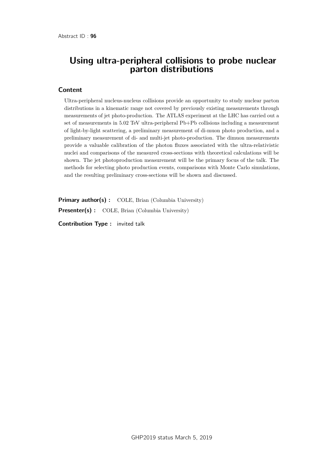### Using ultra-peripheral collisions to probe nuclear parton distributions

#### **Content**

Ultra-peripheral nucleus-nucleus collisions provide an opportunity to study nuclear parton distributions in a kinematic range not covered by previously existing measurements through measurements of jet photo-production. The ATLAS experiment at the LHC has carried out a set of measurements in 5.02 TeV ultra-peripheral Pb+Pb collisions including a measurement of light-by-light scattering, a preliminary measurement of di-muon photo production, and a preliminary measurement of di- and multi-jet photo-production. The dimuon measurements provide a valuable calibration of the photon fluxes associated with the ultra-relativistic nuclei and comparisons of the measured cross-sections with theoretical calculations will be shown. The jet photoproduction measurement will be the primary focus of the talk. The methods for selecting photo production events, comparisons with Monte Carlo simulations, and the resulting preliminary cross-sections will be shown and discussed.

Primary author(s): COLE, Brian (Columbia University)

Presenter(s) : COLE, Brian (Columbia University)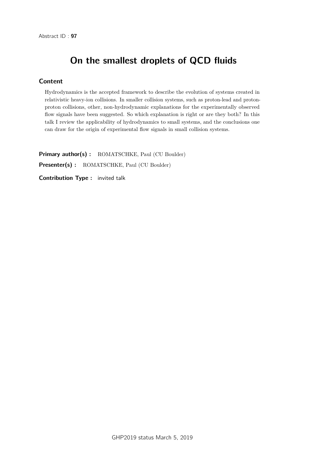# On the smallest droplets of QCD fluids

### **Content**

Hydrodynamics is the accepted framework to describe the evolution of systems created in relativistic heavy-ion collisions. In smaller collision systems, such as proton-lead and protonproton collisions, other, non-hydrodynamic explanations for the experimentally observed flow signals have been suggested. So which explanation is right or are they both? In this talk I review the applicability of hydrodynamics to small systems, and the conclusions one can draw for the origin of experimental flow signals in small collision systems.

Primary author(s) : ROMATSCHKE, Paul (CU Boulder) Presenter(s) : ROMATSCHKE, Paul (CU Boulder)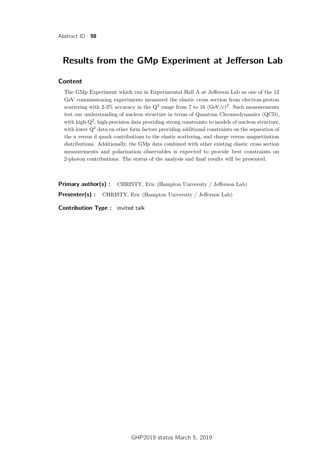# Results from the GMp Experiment at Jefferson Lab

#### **Content**

The GMp Experiment which ran in Experimental Hall A at Jefferson Lab as one of the 12 GeV commissioning experiments measured the elastic cross section from electron-proton scattering with 2-3% accuracy in the  $Q^2$  range from 7 to 16 (GeV/c)<sup>2</sup>. Such measurements test our understanding of nucleon structure in terms of Quantum Chromodynamics (QCD), with high-Q<sup>2</sup>, high-precision data providing strong constraints to models of nucleon structure, with lower  $Q<sup>2</sup>$  data on other form factors providing additional constraints on the separation of the u versus d quark contributions to the elastic scattering, and charge versus magnetization distributions. Additionally, the GMp data combined with other existing elastic cross section measurements and polarization observables is expected to provide best constraints on 2-photon contributions. The status of the analysis and final results will be presented.

Primary author(s): CHRISTY, Eric (Hampton University / Jefferson Lab) Presenter(s) : CHRISTY, Eric (Hampton University / Jefferson Lab)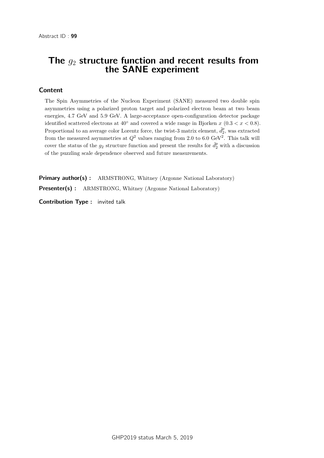## The *g*<sup>2</sup> structure function and recent results from the SANE experiment

#### Content

The Spin Asymmetries of the Nucleon Experiment (SANE) measured two double spin asymmetries using a polarized proton target and polarized electron beam at two beam energies, 4.7 GeV and 5.9 GeV. A large-acceptance open-configuration detector package identified scattered electrons at  $40°$  and covered a wide range in Bjorken *x*  $(0.3 < x < 0.8)$ . Proportional to an average color Lorentz force, the twist-3 matrix element,  $\tilde{d}_2^p$ , was extracted from the measured asymmetries at  $Q^2$  values ranging from 2.0 to 6.0 GeV<sup>2</sup>. This talk will cover the status of the  $g_2$  structure function and present the results for  $\tilde{d}_2^p$  with a discussion of the puzzling scale dependence observed and future measurements.

**Primary author(s):** ARMSTRONG, Whitney (Argonne National Laboratory) Presenter(s) : ARMSTRONG, Whitney (Argonne National Laboratory)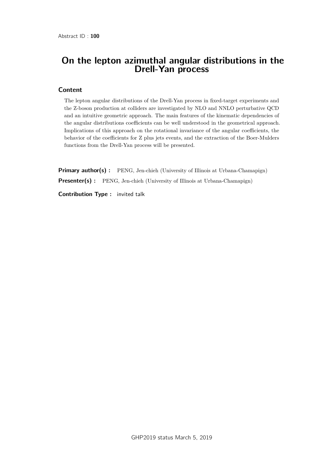## On the lepton azimuthal angular distributions in the Drell-Yan process

#### **Content**

The lepton angular distributions of the Drell-Yan process in fixed-target experiments and the Z-boson production at colliders are investigated by NLO and NNLO perturbative QCD and an intuitive geometric approach. The main features of the kinematic dependencies of the angular distributions coefficients can be well understood in the geometrical approach. Implications of this approach on the rotational invariance of the angular coefficients, the behavior of the coefficients for Z plus jets events, and the extraction of the Boer-Mulders functions from the Drell-Yan process will be presented.

**Primary author(s):** PENG, Jen-chieh (University of Illinois at Urbana-Chamapign) **Presenter(s) :** PENG, Jen-chieh (University of Illinois at Urbana-Chamapign)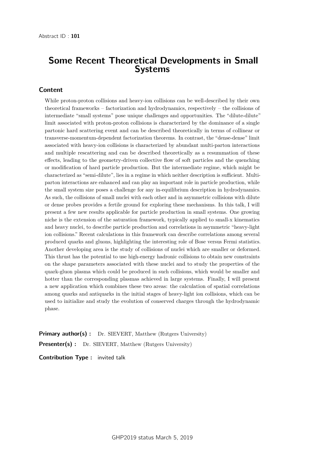### Some Recent Theoretical Developments in Small Systems

#### Content

While proton-proton collisions and heavy-ion collisions can be well-described by their own theoretical frameworks – factorization and hydrodynamics, respectively – the collisions of intermediate "small systems" pose unique challenges and opportunities. The "dilute-dilute" limit associated with proton-proton collisions is characterized by the dominance of a single partonic hard scattering event and can be described theoretically in terms of collinear or transverse-momentum-dependent factorization theorems. In contrast, the "dense-dense" limit associated with heavy-ion collisions is characterized by abundant multi-parton interactions and multiple rescattering and can be described theoretically as a resummation of these effects, leading to the geometry-driven collective flow of soft particles and the quenching or modification of hard particle production. But the intermediate regime, which might be characterized as "semi-dilute", lies in a regime in which neither description is sufficient. Multiparton interactions are enhanced and can play an important role in particle production, while the small system size poses a challenge for any in-equilibrium description in hydrodynamics. As such, the collisions of small nuclei with each other and in asymmetric collisions with dilute or dense probes provides a fertile ground for exploring these mechanisms. In this talk, I will present a few new results applicable for particle production in small systems. One growing niche is the extension of the saturation framework, typically applied to small-x kinematics and heavy nuclei, to describe particle production and correlations in asymmetric "heavy-light ion collisions." Recent calculations in this framework can describe correlations among several produced quarks and gluons, highlighting the interesting role of Bose versus Fermi statistics. Another developing area is the study of collisions of nuclei which are smaller or deformed. This thrust has the potential to use high-energy hadronic collisions to obtain new constraints on the shape parameters associated with these nuclei and to study the properties of the quark-gluon plasma which could be produced in such collisions, which would be smaller and hotter than the corresponding plasmas achieved in large systems. Finally, I will present a new application which combines these two areas: the calculation of spatial correlations among quarks and antiquarks in the initial stages of heavy-light ion collisions, which can be used to initialize and study the evolution of conserved charges through the hydrodynamic phase.

**Primary author(s):** Dr. SIEVERT, Matthew (Rutgers University) Presenter(s) : Dr. SIEVERT, Matthew (Rutgers University)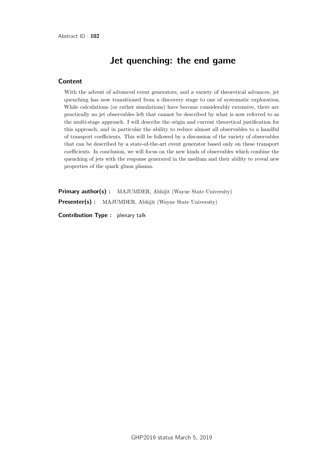# Jet quenching: the end game

### Content

With the advent of advanced event generators, and a variety of theoretical advances, jet quenching has now transitioned from a discovery stage to one of systematic exploration. While calculations (or rather simulations) have become considerably extensive, there are practically no jet observables left that cannot be described by what is now referred to as the multi-stage approach. I will describe the origin and current theoretical justification for this approach, and in particular the ability to reduce almost all observables to a handful of transport coefficients. This will be followed by a discussion of the variety of observables that can be described by a state-of-the-art event generator based only on these transport coefficients. In conclusion, we will focus on the new kinds of observables which combine the quenching of jets with the response generated in the medium and their ability to reveal new properties of the quark gluon plasma.

Primary author(s) : MAJUMDER, Abhijit (Wayne State University) **Presenter(s)** : MAJUMDER, Abhijit (Wayne State University)

Contribution Type : plenary talk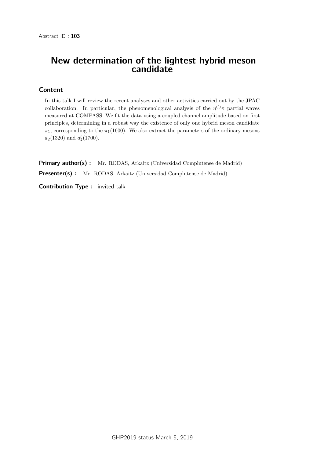## New determination of the lightest hybrid meson candidate

### **Content**

In this talk I will review the recent analyses and other activities carried out by the JPAC collaboration. In particular, the phenomenological analysis of the  $\eta^{(')}\pi$  partial waves measured at COMPASS. We fit the data using a coupled-channel amplitude based on first principles, determining in a robust way the existence of only one hybrid meson candidate  $\pi_1$ , corresponding to the  $\pi_1(1600)$ . We also extract the parameters of the ordinary mesons  $a_2(1320)$  and  $a'_2(1700)$ .

**Primary author(s)**: Mr. RODAS, Arkaitz (Universidad Complutense de Madrid) Presenter(s) : Mr. RODAS, Arkaitz (Universidad Complutense de Madrid)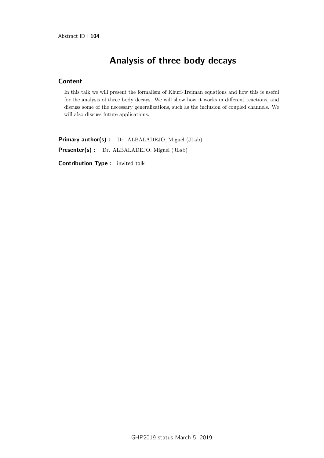# Analysis of three body decays

### Content

In this talk we will present the formalism of Khuri-Treiman equations and how this is useful for the analysis of three body decays. We will show how it works in different reactions, and discuss some of the necessary generalizations, such as the inclusion of coupled channels. We will also discuss future applications.

Primary author(s) : Dr. ALBALADEJO, Miguel (JLab) Presenter(s) : Dr. ALBALADEJO, Miguel (JLab)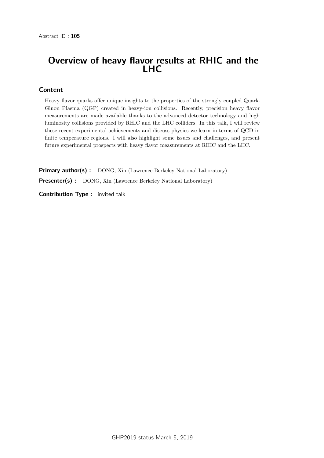# Overview of heavy flavor results at RHIC and the LHC

#### Content

Heavy flavor quarks offer unique insights to the properties of the strongly coupled Quark-Gluon Plasma (QGP) created in heavy-ion collisions. Recently, precision heavy flavor measurements are made available thanks to the advanced detector technology and high luminosity collisions provided by RHIC and the LHC colliders. In this talk, I will review these recent experimental achievements and discuss physics we learn in terms of QCD in finite temperature regions. I will also highlight some issues and challenges, and present future experimental prospects with heavy flavor measurements at RHIC and the LHC.

Primary author(s) : DONG, Xin (Lawrence Berkeley National Laboratory) **Presenter(s) :** DONG, Xin (Lawrence Berkeley National Laboratory)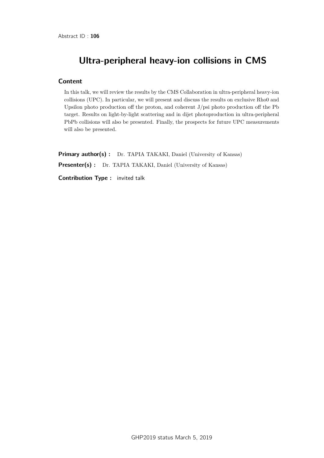# Ultra-peripheral heavy-ion collisions in CMS

#### **Content**

In this talk, we will review the results by the CMS Collaboration in ultra-peripheral heavy-ion collisions (UPC). In particular, we will present and discuss the results on exclusive Rho0 and Upsilon photo production off the proton, and coherent J/psi photo production off the Pb target. Results on light-by-light scattering and in dijet photoproduction in ultra-peripheral PbPb collisions will also be presented. Finally, the prospects for future UPC measurements will also be presented.

Primary author(s) : Dr. TAPIA TAKAKI, Daniel (University of Kansas) Presenter(s) : Dr. TAPIA TAKAKI, Daniel (University of Kansas)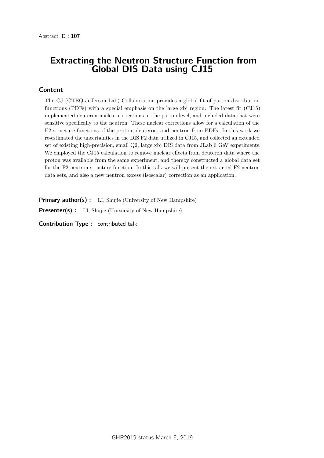## Extracting the Neutron Structure Function from Global DIS Data using CJ15

#### Content

The CJ (CTEQ-Jefferson Lab) Collaboration provides a global fit of parton distribution functions (PDFs) with a special emphasis on the large xbj region. The latest fit (CJ15) implemented deuteron nuclear corrections at the parton level, and included data that were sensitive specifically to the neutron. These nuclear corrections allow for a calculation of the F2 structure functions of the proton, deuteron, and neutron from PDFs. In this work we re-estimated the uncertainties in the DIS F2 data utilized in CJ15, and collected an extended set of existing high-precision, small Q2, large xbj DIS data from JLab 6 GeV experiments. We employed the CJ15 calculation to remove nuclear effects from deuteron data where the proton was available from the same experiment, and thereby constructed a global data set for the F2 neutron structure function. In this talk we will present the extracted F2 neutron data sets, and also a new neutron excess (isoscalar) correction as an application.

**Primary author(s):** LI, Shujie (University of New Hampshire)

**Presenter(s)** : LI, Shujie (University of New Hampshire)

Contribution Type : contributed talk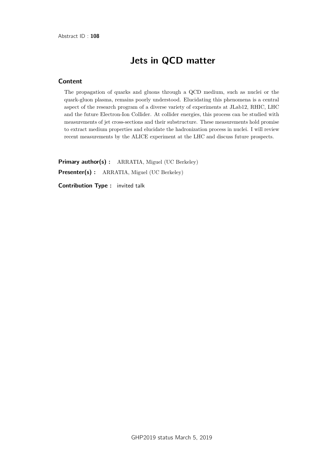# Jets in QCD matter

### Content

The propagation of quarks and gluons through a QCD medium, such as nuclei or the quark-gluon plasma, remains poorly understood. Elucidating this phenomena is a central aspect of the research program of a diverse variety of experiments at JLab12, RHIC, LHC and the future Electron-Ion Collider. At collider energies, this process can be studied with measurements of jet cross-sections and their substructure. These measurements hold promise to extract medium properties and elucidate the hadronization process in nuclei. I will review recent measurements by the ALICE experiment at the LHC and discuss future prospects.

Primary author(s): ARRATIA, Miguel (UC Berkeley) Presenter(s) : ARRATIA, Miguel (UC Berkeley)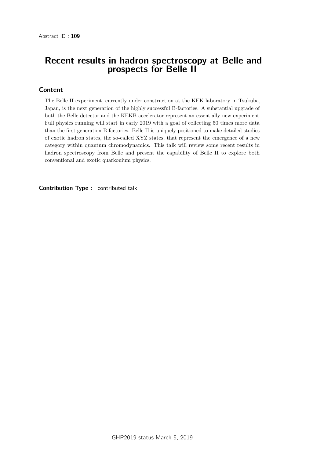### Recent results in hadron spectroscopy at Belle and prospects for Belle II

### Content

The Belle II experiment, currently under construction at the KEK laboratory in Tsukuba, Japan, is the next generation of the highly successful B-factories. A substantial upgrade of both the Belle detector and the KEKB accelerator represent an essentially new experiment. Full physics running will start in early 2019 with a goal of collecting 50 times more data than the first generation B-factories. Belle II is uniquely positioned to make detailed studies of exotic hadron states, the so-called XYZ states, that represent the emergence of a new category within quantum chromodynamics. This talk will review some recent results in hadron spectroscopy from Belle and present the capability of Belle II to explore both conventional and exotic quarkonium physics.

Contribution Type : contributed talk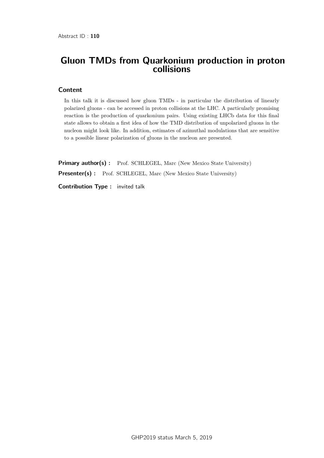## Gluon TMDs from Quarkonium production in proton collisions

#### Content

In this talk it is discussed how gluon TMDs - in particular the distribution of linearly polarized gluons - can be accessed in proton collisions at the LHC. A particularly promising reaction is the production of quarkonium pairs. Using existing LHCb data for this final state allows to obtain a first idea of how the TMD distribution of unpolarized gluons in the nucleon might look like. In addition, estimates of azimuthal modulations that are sensitive to a possible linear polarization of gluons in the nucleon are presented.

Primary author(s) : Prof. SCHLEGEL, Marc (New Mexico State University) Presenter(s) : Prof. SCHLEGEL, Marc (New Mexico State University)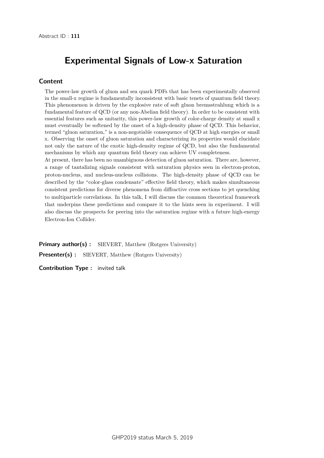# Experimental Signals of Low-x Saturation

#### Content

The power-law growth of gluon and sea quark PDFs that has been experimentally observed in the small-x regime is fundamentally inconsistent with basic tenets of quantum field theory. This phenomenon is driven by the explosive rate of soft gluon bremsstrahlung which is a fundamental feature of QCD (or any non-Abelian field theory). In order to be consistent with essential features such as unitarity, this power-law growth of color-charge density at small x must eventually be softened by the onset of a high-density phase of QCD. This behavior, termed "gluon saturation," is a non-negotiable consequence of QCD at high energies or small x. Observing the onset of gluon saturation and characterizing its properties would elucidate not only the nature of the exotic high-density regime of QCD, but also the fundamental mechanisms by which any quantum field theory can achieve UV completeness.

At present, there has been no unambiguous detection of gluon saturation. There are, however, a range of tantalizing signals consistent with saturation physics seen in electron-proton, proton-nucleus, and nucleus-nucleus collisions. The high-density phase of QCD can be described by the "color-glass condensate" effective field theory, which makes simultaneous consistent predictions for diverse phenomena from diffractive cross sections to jet quenching to multiparticle correlations. In this talk, I will discuss the common theoretical framework that underpins these predictions and compare it to the hints seen in experiment. I will also discuss the prospects for peering into the saturation regime with a future high-energy Electron-Ion Collider.

Primary author(s): SIEVERT, Matthew (Rutgers University) **Presenter(s)** : SIEVERT, Matthew (Rutgers University)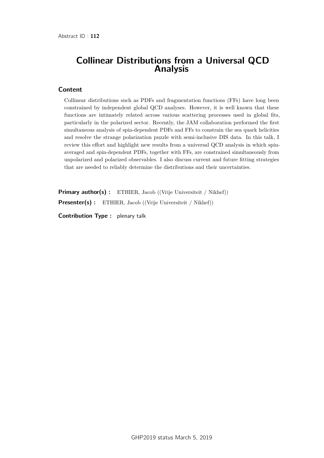### Collinear Distributions from a Universal QCD Analysis

#### Content

Collinear distributions such as PDFs and fragmentation functions (FFs) have long been constrained by independent global QCD analyses. However, it is well known that these functions are intimately related across various scattering processes used in global fits, particularly in the polarized sector. Recently, the JAM collaboration performed the first simultaneous analysis of spin-dependent PDFs and FFs to constrain the sea quark helicities and resolve the strange polarization puzzle with semi-inclusive DIS data. In this talk, I review this effort and highlight new results from a universal QCD analysis in which spinaveraged and spin-dependent PDFs, together with FFs, are constrained simultaneously from unpolarized and polarized observables. I also discuss current and future fitting strategies that are needed to reliably determine the distributions and their uncertainties.

Primary author(s) : ETHIER, Jacob ((Vrije Universiteit / Nikhef)) Presenter(s) : ETHIER, Jacob ((Vrije Universiteit / Nikhef))

Contribution Type : plenary talk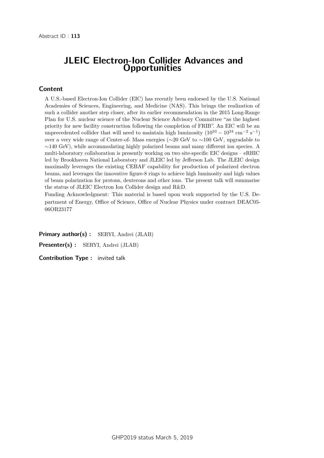### JLEIC Electron-Ion Collider Advances and **Opportunities**

#### Content

A U.S.-based Electron-Ion Collider (EIC) has recently been endorsed by the U.S. National Academies of Sciences, Engineering, and Medicine (NAS). This brings the realization of such a collider another step closer, after its earlier recommendation in the 2015 Long-Range Plan for U.S. nuclear science of the Nuclear Science Advisory Committee "as the highest priority for new facility construction following the completion of FRIB". An EIC will be an unprecedented collider that will need to maintain high luminosity  $(10^{33} - 10^{34} \text{ cm}^{-2} \text{ s}^{-1})$ over a very wide range of Center-of- Mass energies (∼20 GeV to ∼100 GeV, upgradable to  $~\sim$ 140 GeV), while accommodating highly polarized beams and many different ion species. A multi-laboratory collaboration is presently working on two site-specific EIC designs – eRHIC led by Brookhaven National Laboratory and JLEIC led by Jefferson Lab. The JLEIC design maximally leverages the existing CEBAF capability for production of polarized electron beams, and leverages the innovative figure-8 rings to achieve high luminosity and high values of beam polarization for protons, deuterons and other ions. The present talk will summarise the status of JLEIC Electron Ion Collider design and R&D.

Funding Acknowledgment: This material is based upon work supported by the U.S. Department of Energy, Office of Science, Office of Nuclear Physics under contract DEAC05- 06OR23177

Primary author(s) : SERYI, Andrei (JLAB)

Presenter(s) : SERYI, Andrei (JLAB)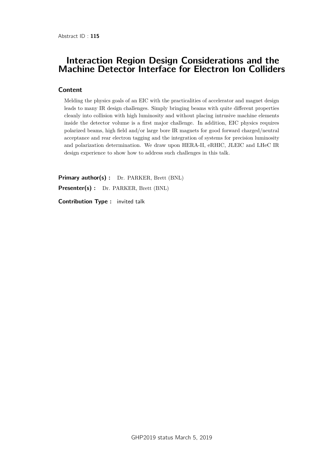## Interaction Region Design Considerations and the Machine Detector Interface for Electron Ion Colliders

#### Content

Melding the physics goals of an EIC with the practicalities of accelerator and magnet design leads to many IR design challenges. Simply bringing beams with quite different properties cleanly into collision with high luminosity and without placing intrusive machine elements inside the detector volume is a first major challenge. In addition, EIC physics requires polarized beams, high field and/or large bore IR magnets for good forward charged/neutral acceptance and rear electron tagging and the integration of systems for precision luminosity and polarization determination. We draw upon HERA-II, eRHIC, JLEIC and LHeC IR design experience to show how to address such challenges in this talk.

Primary author(s) : Dr. PARKER, Brett (BNL)

Presenter(s) : Dr. PARKER, Brett (BNL)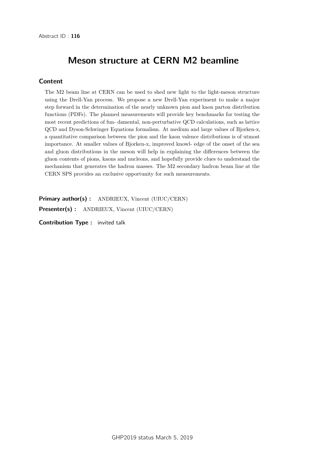## Meson structure at CERN M2 beamline

#### **Content**

The M2 beam line at CERN can be used to shed new light to the light-meson structure using the Drell-Yan process. We propose a new Drell-Yan experiment to make a major step forward in the determination of the nearly unknown pion and kaon parton distribution functions (PDFs). The planned measurements will provide key benchmarks for testing the most recent predictions of fun- damental, non-perturbative QCD calculations, such as lattice QCD and Dyson-Schwinger Equations formalism. At medium and large values of Bjorken-x, a quantitative comparison between the pion and the kaon valence distributions is of utmost importance. At smaller values of Bjorken-x, improved knowl- edge of the onset of the sea and gluon distributions in the meson will help in explaining the differences between the gluon contents of pions, kaons and nucleons, and hopefully provide clues to understand the mechanism that generates the hadron masses. The M2 secondary hadron beam line at the CERN SPS provides an exclusive opportunity for such measurements.

Primary author(s) : ANDRIEUX, Vincent (UIUC/CERN)

Presenter(s) : ANDRIEUX, Vincent (UIUC/CERN)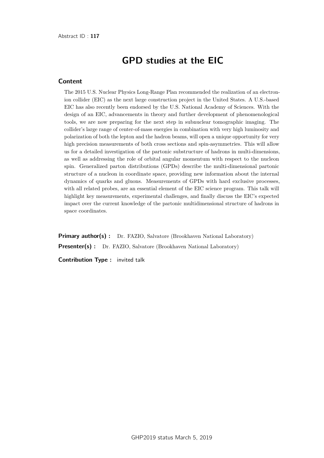# GPD studies at the EIC

#### **Content**

The 2015 U.S. Nuclear Physics Long-Range Plan recommended the realization of an electronion collider (EIC) as the next large construction project in the United States. A U.S.-based EIC has also recently been endorsed by the U.S. National Academy of Sciences. With the design of an EIC, advancements in theory and further development of phenomenological tools, we are now preparing for the next step in subnuclear tomographic imaging. The collider's large range of center-of-mass energies in combination with very high luminosity and polarization of both the lepton and the hadron beams, will open a unique opportunity for very high precision measurements of both cross sections and spin-asymmetries. This will allow us for a detailed investigation of the partonic substructure of hadrons in multi-dimensions, as well as addressing the role of orbital angular momentum with respect to the nucleon spin. Generalized parton distributions (GPDs) describe the multi-dimensional partonic structure of a nucleon in coordinate space, providing new information about the internal dynamics of quarks and gluons. Measurements of GPDs with hard exclusive processes, with all related probes, are an essential element of the EIC science program. This talk will highlight key measurements, experimental challenges, and finally discuss the EIC's expected impact over the current knowledge of the partonic multidimensional structure of hadrons in space coordinates.

**Primary author(s) :** Dr. FAZIO, Salvatore (Brookhaven National Laboratory) **Presenter(s) :** Dr. FAZIO, Salvatore (Brookhaven National Laboratory)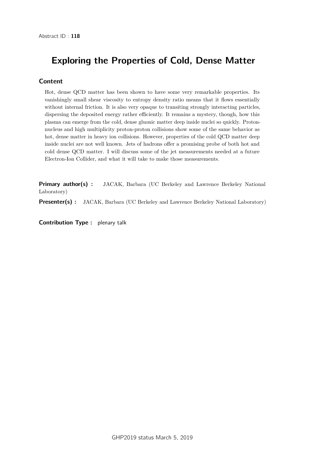# Exploring the Properties of Cold, Dense Matter

#### **Content**

Hot, dense QCD matter has been shown to have some very remarkable properties. Its vanishingly small shear viscosity to entropy density ratio means that it flows essentially without internal friction. It is also very opaque to transiting strongly interacting particles, dispersing the deposited energy rather efficiently. It remains a mystery, though, how this plasma can emerge from the cold, dense gluonic matter deep inside nuclei so quickly. Protonnucleus and high multiplicity proton-proton collisions show some of the same behavior as hot, dense matter in heavy ion collisions. However, properties of the cold QCD matter deep inside nuclei are not well known. Jets of hadrons offer a promising probe of both hot and cold dense QCD matter. I will discuss some of the jet measurements needed at a future Electron-Ion Collider, and what it will take to make those measurements.

Primary author(s): JACAK, Barbara (UC Berkeley and Lawrence Berkeley National Laboratory)

**Presenter(s) :** JACAK, Barbara (UC Berkeley and Lawrence Berkeley National Laboratory)

Contribution Type : plenary talk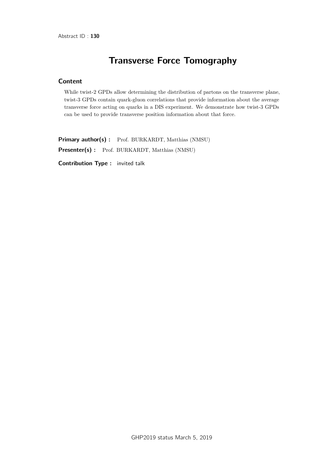# Transverse Force Tomography

#### Content

While twist-2 GPDs allow determining the distribution of partons on the transverse plane, twist-3 GPDs contain quark-gluon correlations that provide information about the average transverse force acting on quarks in a DIS experiment. We demonstrate how twist-3 GPDs can be used to provide transverse position information about that force.

Primary author(s) : Prof. BURKARDT, Matthias (NMSU) Presenter(s) : Prof. BURKARDT, Matthias (NMSU)